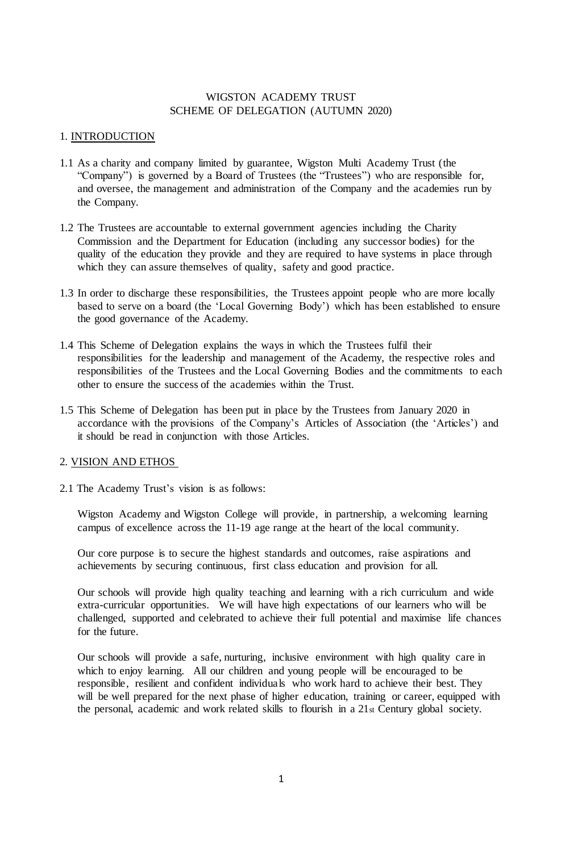## WIGSTON ACADEMY TRUST SCHEME OF DELEGATION (AUTUMN 2020)

#### 1. INTRODUCTION

- 1.1 As a charity and company limited by guarantee, Wigston Multi Academy Trust (the "Company") is governed by a Board of Trustees (the "Trustees") who are responsible for, and oversee, the management and administration of the Company and the academies run by the Company.
- 1.2 The Trustees are accountable to external government agencies including the Charity Commission and the Department for Education (including any successor bodies) for the quality of the education they provide and they are required to have systems in place through which they can assure themselves of quality, safety and good practice.
- 1.3 In order to discharge these responsibilities, the Trustees appoint people who are more locally based to serve on a board (the 'Local Governing Body') which has been established to ensure the good governance of the Academy.
- 1.4 This Scheme of Delegation explains the ways in which the Trustees fulfil their responsibilities for the leadership and management of the Academy, the respective roles and responsibilities of the Trustees and the Local Governing Bodies and the commitments to each other to ensure the success of the academies within the Trust.
- 1.5 This Scheme of Delegation has been put in place by the Trustees from January 2020 in accordance with the provisions of the Company's Articles of Association (the 'Articles') and it should be read in conjunction with those Articles.

#### 2. VISION AND ETHOS

2.1 The Academy Trust's vision is as follows:

Wigston Academy and Wigston College will provide, in partnership, a welcoming learning campus of excellence across the 11-19 age range at the heart of the local community.

Our core purpose is to secure the highest standards and outcomes, raise aspirations and achievements by securing continuous, first class education and provision for all.

Our schools will provide high quality teaching and learning with a rich curriculum and wide extra-curricular opportunities. We will have high expectations of our learners who will be challenged, supported and celebrated to achieve their full potential and maximise life chances for the future.

Our schools will provide a safe, nurturing, inclusive environment with high quality care in which to enjoy learning. All our children and young people will be encouraged to be responsible, resilient and confident individuals who work hard to achieve their best. They will be well prepared for the next phase of higher education, training or career, equipped with the personal, academic and work related skills to flourish in a 21st Century global society.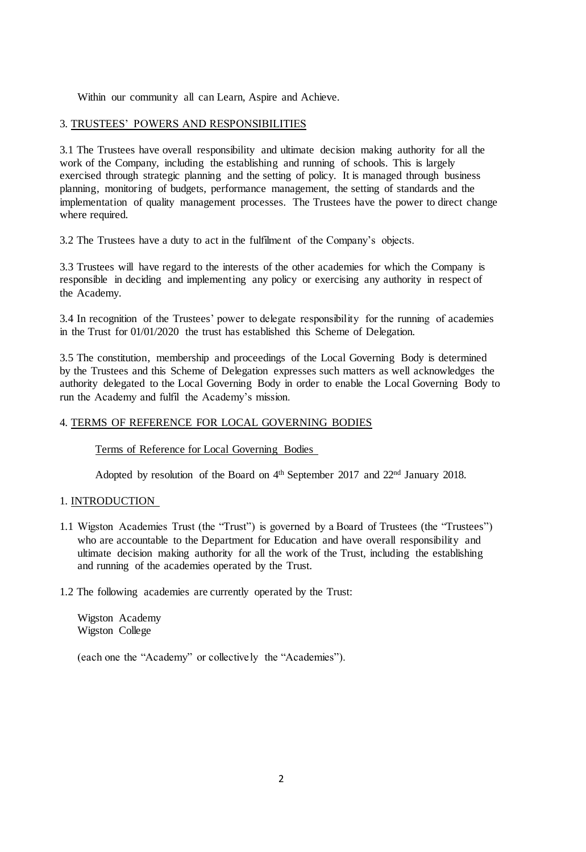Within our community all can Learn, Aspire and Achieve.

## 3. TRUSTEES' POWERS AND RESPONSIBILITIES

3.1 The Trustees have overall responsibility and ultimate decision making authority for all the work of the Company, including the establishing and running of schools. This is largely exercised through strategic planning and the setting of policy. It is managed through business planning, monitoring of budgets, performance management, the setting of standards and the implementation of quality management processes. The Trustees have the power to direct change where required.

3.2 The Trustees have a duty to act in the fulfilment of the Company's objects.

3.3 Trustees will have regard to the interests of the other academies for which the Company is responsible in deciding and implementing any policy or exercising any authority in respect of the Academy.

3.4 In recognition of the Trustees' power to delegate responsibility for the running of academies in the Trust for 01/01/2020 the trust has established this Scheme of Delegation.

3.5 The constitution, membership and proceedings of the Local Governing Body is determined by the Trustees and this Scheme of Delegation expresses such matters as well acknowledges the authority delegated to the Local Governing Body in order to enable the Local Governing Body to run the Academy and fulfil the Academy's mission.

## 4. TERMS OF REFERENCE FOR LOCAL GOVERNING BODIES

#### Terms of Reference for Local Governing Bodies

Adopted by resolution of the Board on 4<sup>th</sup> September 2017 and 22<sup>nd</sup> January 2018.

#### 1. INTRODUCTION

- 1.1 Wigston Academies Trust (the "Trust") is governed by a Board of Trustees (the "Trustees") who are accountable to the Department for Education and have overall responsibility and ultimate decision making authority for all the work of the Trust, including the establishing and running of the academies operated by the Trust.
- 1.2 The following academies are currently operated by the Trust:

Wigston Academy Wigston College

(each one the "Academy" or collectively the "Academies").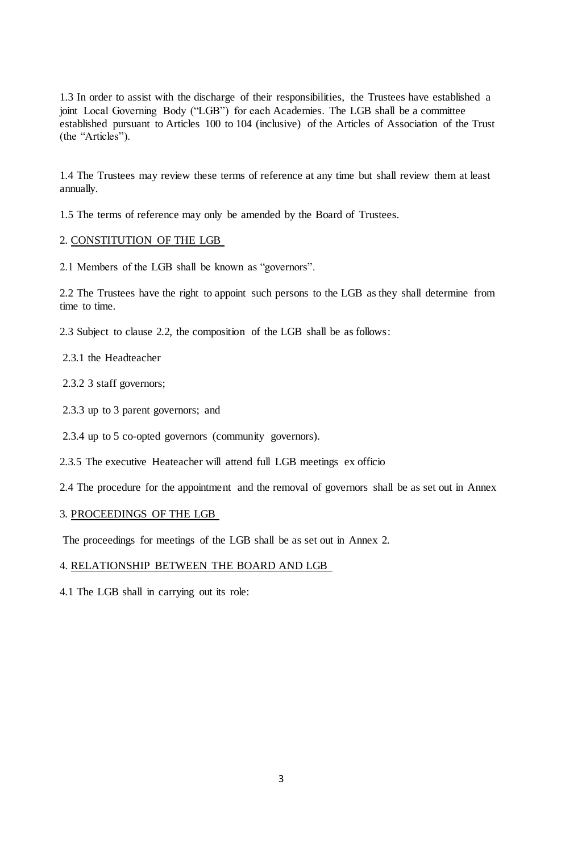1.3 In order to assist with the discharge of their responsibilities, the Trustees have established a joint Local Governing Body ("LGB") for each Academies. The LGB shall be a committee established pursuant to Articles 100 to 104 (inclusive) of the Articles of Association of the Trust (the "Articles").

1.4 The Trustees may review these terms of reference at any time but shall review them at least annually.

1.5 The terms of reference may only be amended by the Board of Trustees.

## 2. CONSTITUTION OF THE LGB

2.1 Members of the LGB shall be known as "governors".

2.2 The Trustees have the right to appoint such persons to the LGB as they shall determine from time to time.

2.3 Subject to clause 2.2, the composition of the LGB shall be as follows:

#### 2.3.1 the Headteacher

2.3.2 3 staff governors;

- 2.3.3 up to 3 parent governors; and
- 2.3.4 up to 5 co-opted governors (community governors).
- 2.3.5 The executive Heateacher will attend full LGB meetings ex officio

2.4 The procedure for the appointment and the removal of governors shall be as set out in Annex

#### 3. PROCEEDINGS OF THE LGB

The proceedings for meetings of the LGB shall be as set out in Annex 2.

#### 4. RELATIONSHIP BETWEEN THE BOARD AND LGB

4.1 The LGB shall in carrying out its role: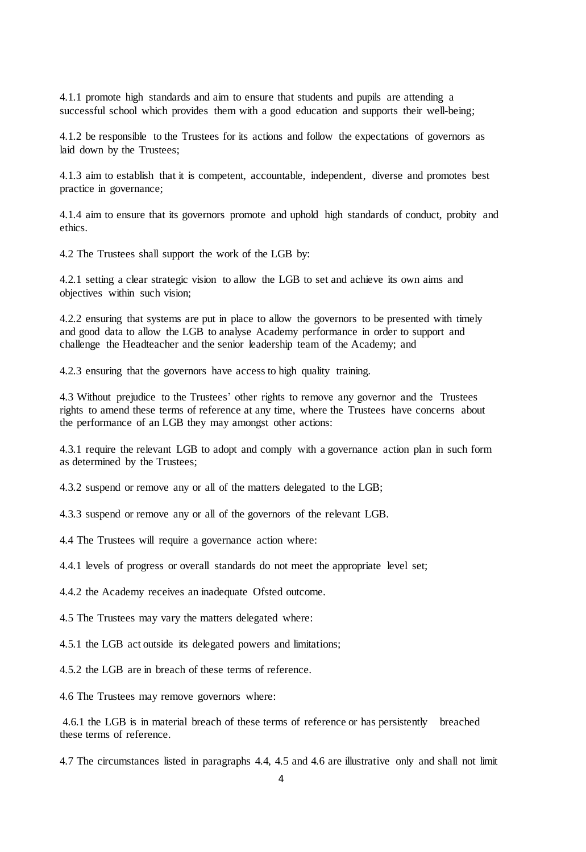4.1.1 promote high standards and aim to ensure that students and pupils are attending a successful school which provides them with a good education and supports their well-being;

4.1.2 be responsible to the Trustees for its actions and follow the expectations of governors as laid down by the Trustees;

4.1.3 aim to establish that it is competent, accountable, independent, diverse and promotes best practice in governance;

4.1.4 aim to ensure that its governors promote and uphold high standards of conduct, probity and ethics.

4.2 The Trustees shall support the work of the LGB by:

4.2.1 setting a clear strategic vision to allow the LGB to set and achieve its own aims and objectives within such vision;

4.2.2 ensuring that systems are put in place to allow the governors to be presented with timely and good data to allow the LGB to analyse Academy performance in order to support and challenge the Headteacher and the senior leadership team of the Academy; and

4.2.3 ensuring that the governors have access to high quality training.

4.3 Without prejudice to the Trustees' other rights to remove any governor and the Trustees rights to amend these terms of reference at any time, where the Trustees have concerns about the performance of an LGB they may amongst other actions:

4.3.1 require the relevant LGB to adopt and comply with a governance action plan in such form as determined by the Trustees;

4.3.2 suspend or remove any or all of the matters delegated to the LGB;

4.3.3 suspend or remove any or all of the governors of the relevant LGB.

4.4 The Trustees will require a governance action where:

4.4.1 levels of progress or overall standards do not meet the appropriate level set;

4.4.2 the Academy receives an inadequate Ofsted outcome.

4.5 The Trustees may vary the matters delegated where:

4.5.1 the LGB act outside its delegated powers and limitations;

4.5.2 the LGB are in breach of these terms of reference.

4.6 The Trustees may remove governors where:

4.6.1 the LGB is in material breach of these terms of reference or has persistently breached these terms of reference.

4.7 The circumstances listed in paragraphs 4.4, 4.5 and 4.6 are illustrative only and shall not limit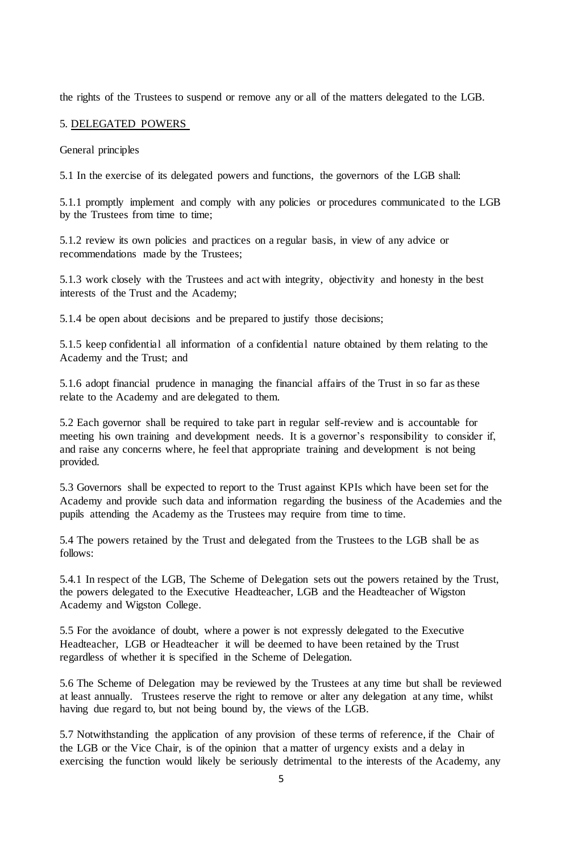the rights of the Trustees to suspend or remove any or all of the matters delegated to the LGB.

#### 5. DELEGATED POWERS

General principles

5.1 In the exercise of its delegated powers and functions, the governors of the LGB shall:

5.1.1 promptly implement and comply with any policies or procedures communicated to the LGB by the Trustees from time to time;

5.1.2 review its own policies and practices on a regular basis, in view of any advice or recommendations made by the Trustees;

5.1.3 work closely with the Trustees and act with integrity, objectivity and honesty in the best interests of the Trust and the Academy;

5.1.4 be open about decisions and be prepared to justify those decisions;

5.1.5 keep confidential all information of a confidential nature obtained by them relating to the Academy and the Trust; and

5.1.6 adopt financial prudence in managing the financial affairs of the Trust in so far as these relate to the Academy and are delegated to them.

5.2 Each governor shall be required to take part in regular self-review and is accountable for meeting his own training and development needs. It is a governor's responsibility to consider if, and raise any concerns where, he feel that appropriate training and development is not being provided.

5.3 Governors shall be expected to report to the Trust against KPIs which have been set for the Academy and provide such data and information regarding the business of the Academies and the pupils attending the Academy as the Trustees may require from time to time.

5.4 The powers retained by the Trust and delegated from the Trustees to the LGB shall be as follows:

5.4.1 In respect of the LGB, The Scheme of Delegation sets out the powers retained by the Trust, the powers delegated to the Executive Headteacher, LGB and the Headteacher of Wigston Academy and Wigston College.

5.5 For the avoidance of doubt, where a power is not expressly delegated to the Executive Headteacher, LGB or Headteacher it will be deemed to have been retained by the Trust regardless of whether it is specified in the Scheme of Delegation.

5.6 The Scheme of Delegation may be reviewed by the Trustees at any time but shall be reviewed at least annually. Trustees reserve the right to remove or alter any delegation at any time, whilst having due regard to, but not being bound by, the views of the LGB.

5.7 Notwithstanding the application of any provision of these terms of reference, if the Chair of the LGB or the Vice Chair, is of the opinion that a matter of urgency exists and a delay in exercising the function would likely be seriously detrimental to the interests of the Academy, any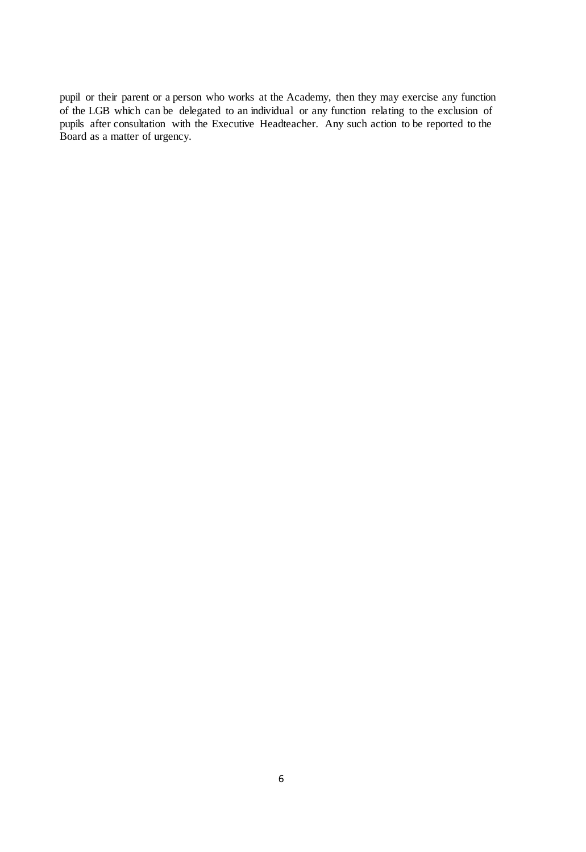pupil or their parent or a person who works at the Academy, then they may exercise any function of the LGB which can be delegated to an individual or any function relating to the exclusion of pupils after consultation with the Executive Headteacher. Any such action to be reported to the Board as a matter of urgency.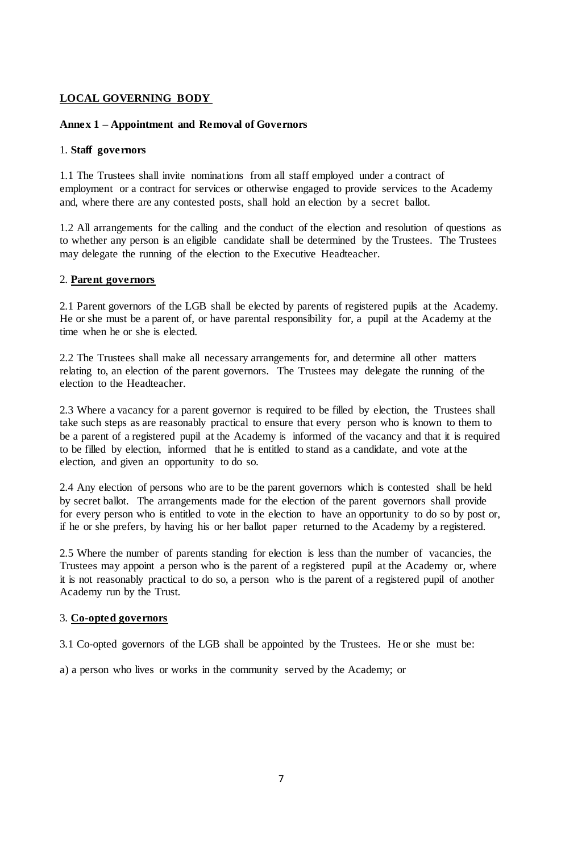# **LOCAL GOVERNING BODY**

## **Annex 1 – Appointment and Removal of Governors**

### 1. **Staff governors**

1.1 The Trustees shall invite nominations from all staff employed under a contract of employment or a contract for services or otherwise engaged to provide services to the Academy and, where there are any contested posts, shall hold an election by a secret ballot.

1.2 All arrangements for the calling and the conduct of the election and resolution of questions as to whether any person is an eligible candidate shall be determined by the Trustees. The Trustees may delegate the running of the election to the Executive Headteacher.

### 2. **Parent governors**

2.1 Parent governors of the LGB shall be elected by parents of registered pupils at the Academy. He or she must be a parent of, or have parental responsibility for, a pupil at the Academy at the time when he or she is elected.

2.2 The Trustees shall make all necessary arrangements for, and determine all other matters relating to, an election of the parent governors. The Trustees may delegate the running of the election to the Headteacher.

2.3 Where a vacancy for a parent governor is required to be filled by election, the Trustees shall take such steps as are reasonably practical to ensure that every person who is known to them to be a parent of a registered pupil at the Academy is informed of the vacancy and that it is required to be filled by election, informed that he is entitled to stand as a candidate, and vote at the election, and given an opportunity to do so.

2.4 Any election of persons who are to be the parent governors which is contested shall be held by secret ballot. The arrangements made for the election of the parent governors shall provide for every person who is entitled to vote in the election to have an opportunity to do so by post or, if he or she prefers, by having his or her ballot paper returned to the Academy by a registered.

2.5 Where the number of parents standing for election is less than the number of vacancies, the Trustees may appoint a person who is the parent of a registered pupil at the Academy or, where it is not reasonably practical to do so, a person who is the parent of a registered pupil of another Academy run by the Trust.

## 3. **Co-opted governors**

3.1 Co-opted governors of the LGB shall be appointed by the Trustees. He or she must be:

a) a person who lives or works in the community served by the Academy; or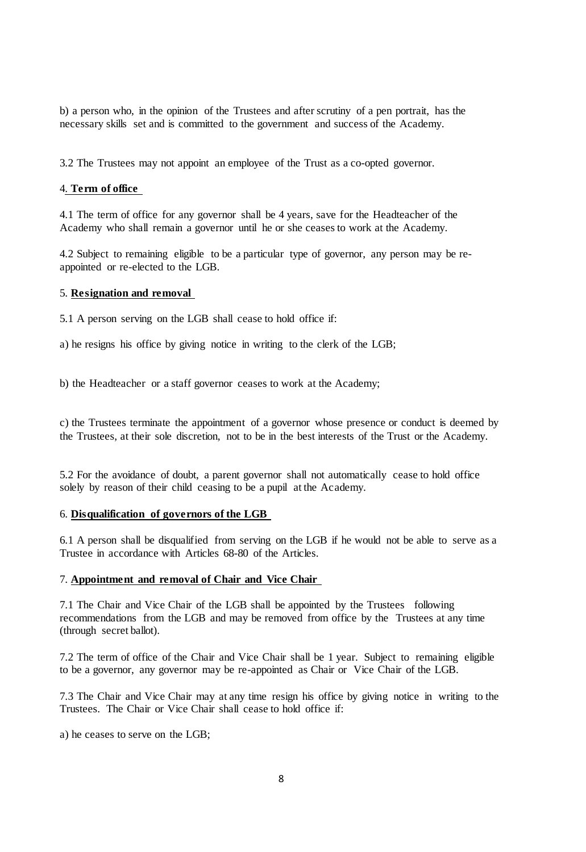b) a person who, in the opinion of the Trustees and after scrutiny of a pen portrait, has the necessary skills set and is committed to the government and success of the Academy.

3.2 The Trustees may not appoint an employee of the Trust as a co-opted governor.

## 4. **Term of office**

4.1 The term of office for any governor shall be 4 years, save for the Headteacher of the Academy who shall remain a governor until he or she ceases to work at the Academy.

4.2 Subject to remaining eligible to be a particular type of governor, any person may be reappointed or re-elected to the LGB.

#### 5. **Resignation and removal**

5.1 A person serving on the LGB shall cease to hold office if:

a) he resigns his office by giving notice in writing to the clerk of the LGB;

b) the Headteacher or a staff governor ceases to work at the Academy;

c) the Trustees terminate the appointment of a governor whose presence or conduct is deemed by the Trustees, at their sole discretion, not to be in the best interests of the Trust or the Academy.

5.2 For the avoidance of doubt, a parent governor shall not automatically cease to hold office solely by reason of their child ceasing to be a pupil at the Academy.

#### 6. **Disqualification of governors of the LGB**

6.1 A person shall be disqualified from serving on the LGB if he would not be able to serve as a Trustee in accordance with Articles 68-80 of the Articles.

#### 7. **Appointment and removal of Chair and Vice Chair**

7.1 The Chair and Vice Chair of the LGB shall be appointed by the Trustees following recommendations from the LGB and may be removed from office by the Trustees at any time (through secret ballot).

7.2 The term of office of the Chair and Vice Chair shall be 1 year. Subject to remaining eligible to be a governor, any governor may be re-appointed as Chair or Vice Chair of the LGB.

7.3 The Chair and Vice Chair may at any time resign his office by giving notice in writing to the Trustees. The Chair or Vice Chair shall cease to hold office if:

a) he ceases to serve on the LGB;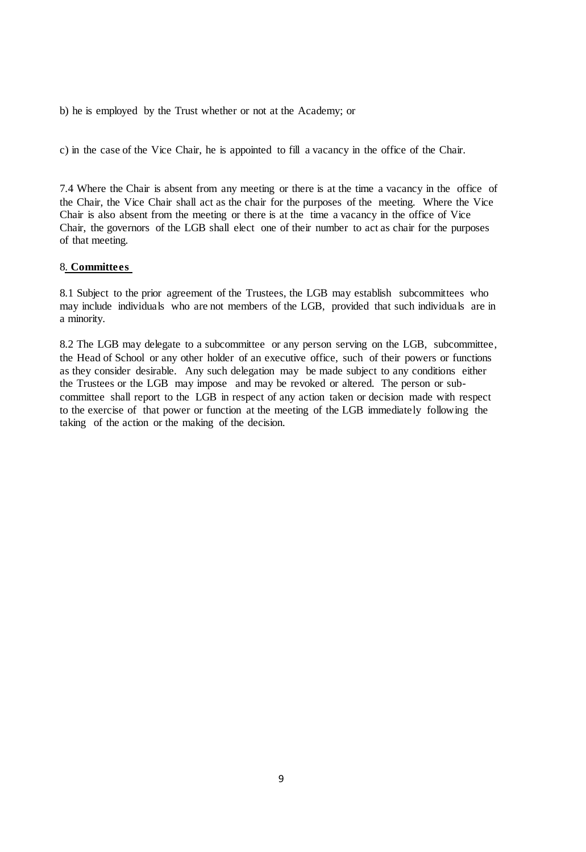b) he is employed by the Trust whether or not at the Academy; or

c) in the case of the Vice Chair, he is appointed to fill a vacancy in the office of the Chair.

7.4 Where the Chair is absent from any meeting or there is at the time a vacancy in the office of the Chair, the Vice Chair shall act as the chair for the purposes of the meeting. Where the Vice Chair is also absent from the meeting or there is at the time a vacancy in the office of Vice Chair, the governors of the LGB shall elect one of their number to act as chair for the purposes of that meeting.

### 8. **Committees**

8.1 Subject to the prior agreement of the Trustees, the LGB may establish subcommittees who may include individuals who are not members of the LGB, provided that such individuals are in a minority.

8.2 The LGB may delegate to a subcommittee or any person serving on the LGB, subcommittee, the Head of School or any other holder of an executive office, such of their powers or functions as they consider desirable. Any such delegation may be made subject to any conditions either the Trustees or the LGB may impose and may be revoked or altered. The person or subcommittee shall report to the LGB in respect of any action taken or decision made with respect to the exercise of that power or function at the meeting of the LGB immediately following the taking of the action or the making of the decision.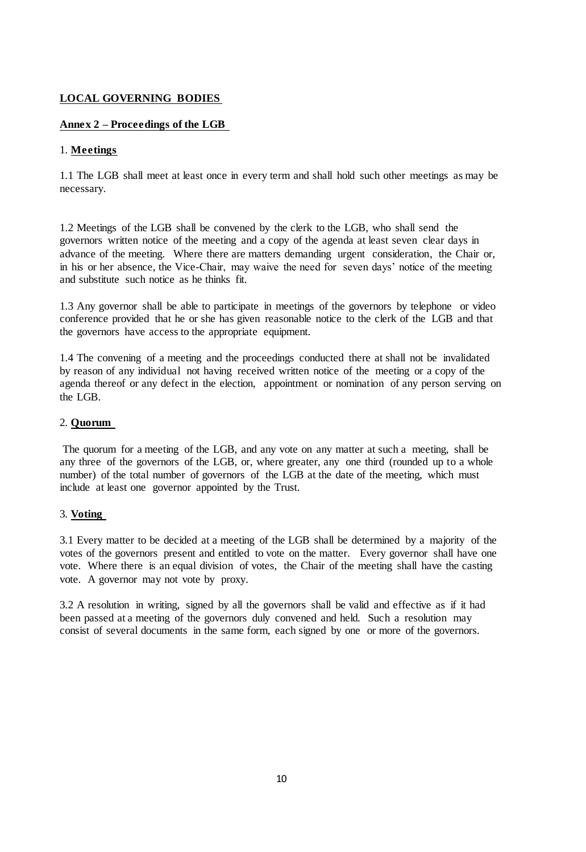# **LOCAL GOVERNING BODIES**

# **Annex 2 – Proceedings of the LGB**

## 1. **Meetings**

1.1 The LGB shall meet at least once in every term and shall hold such other meetings as may be necessary.

1.2 Meetings of the LGB shall be convened by the clerk to the LGB, who shall send the governors written notice of the meeting and a copy of the agenda at least seven clear days in advance of the meeting. Where there are matters demanding urgent consideration, the Chair or, in his or her absence, the Vice-Chair, may waive the need for seven days' notice of the meeting and substitute such notice as he thinks fit.

1.3 Any governor shall be able to participate in meetings of the governors by telephone or video conference provided that he or she has given reasonable notice to the clerk of the LGB and that the governors have access to the appropriate equipment.

1.4 The convening of a meeting and the proceedings conducted there at shall not be invalidated by reason of any individual not having received written notice of the meeting or a copy of the agenda thereof or any defect in the election, appointment or nomination of any person serving on the LGB.

## 2. **Quorum**

The quorum for a meeting of the LGB, and any vote on any matter at such a meeting, shall be any three of the governors of the LGB, or, where greater, any one third (rounded up to a whole number) of the total number of governors of the LGB at the date of the meeting, which must include at least one governor appointed by the Trust.

## 3. **Voting**

3.1 Every matter to be decided at a meeting of the LGB shall be determined by a majority of the votes of the governors present and entitled to vote on the matter. Every governor shall have one vote. Where there is an equal division of votes, the Chair of the meeting shall have the casting vote. A governor may not vote by proxy.

3.2 A resolution in writing, signed by all the governors shall be valid and effective as if it had been passed at a meeting of the governors duly convened and held. Such a resolution may consist of several documents in the same form, each signed by one or more of the governors.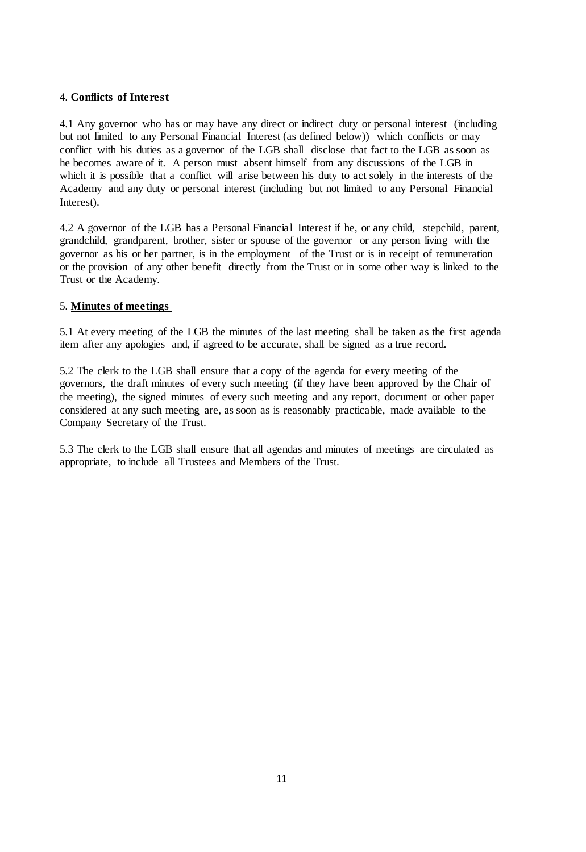## 4. **Conflicts of Interest**

4.1 Any governor who has or may have any direct or indirect duty or personal interest (including but not limited to any Personal Financial Interest (as defined below)) which conflicts or may conflict with his duties as a governor of the LGB shall disclose that fact to the LGB as soon as he becomes aware of it. A person must absent himself from any discussions of the LGB in which it is possible that a conflict will arise between his duty to act solely in the interests of the Academy and any duty or personal interest (including but not limited to any Personal Financial Interest).

4.2 A governor of the LGB has a Personal Financial Interest if he, or any child, stepchild, parent, grandchild, grandparent, brother, sister or spouse of the governor or any person living with the governor as his or her partner, is in the employment of the Trust or is in receipt of remuneration or the provision of any other benefit directly from the Trust or in some other way is linked to the Trust or the Academy.

## 5. **Minutes of meetings**

5.1 At every meeting of the LGB the minutes of the last meeting shall be taken as the first agenda item after any apologies and, if agreed to be accurate, shall be signed as a true record.

5.2 The clerk to the LGB shall ensure that a copy of the agenda for every meeting of the governors, the draft minutes of every such meeting (if they have been approved by the Chair of the meeting), the signed minutes of every such meeting and any report, document or other paper considered at any such meeting are, as soon as is reasonably practicable, made available to the Company Secretary of the Trust.

5.3 The clerk to the LGB shall ensure that all agendas and minutes of meetings are circulated as appropriate, to include all Trustees and Members of the Trust.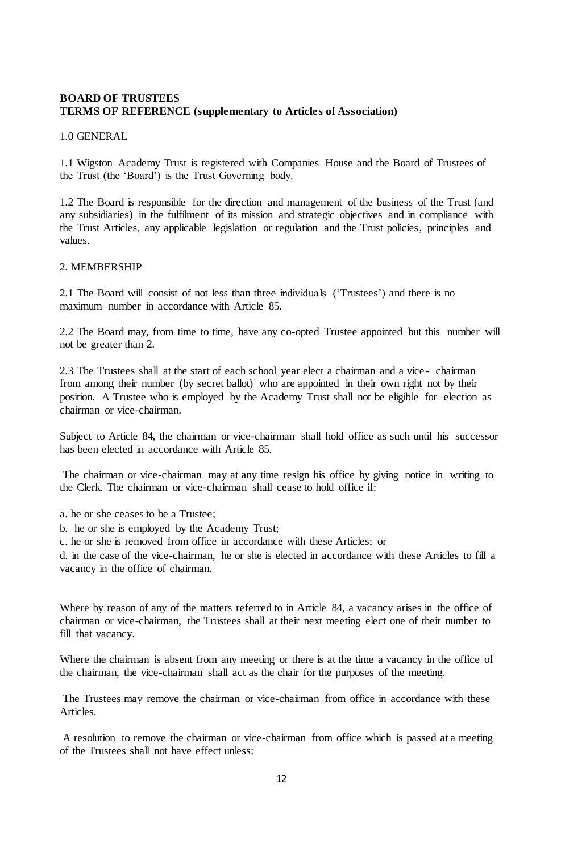## **BOARD OF TRUSTEES TERMS OF REFERENCE (supplementary to Articles of Association)**

1.0 GENERAL

1.1 Wigston Academy Trust is registered with Companies House and the Board of Trustees of the Trust (the 'Board') is the Trust Governing body.

1.2 The Board is responsible for the direction and management of the business of the Trust (and any subsidiaries) in the fulfilment of its mission and strategic objectives and in compliance with the Trust Articles, any applicable legislation or regulation and the Trust policies, principles and values.

#### 2. MEMBERSHIP

2.1 The Board will consist of not less than three individuals ('Trustees') and there is no maximum number in accordance with Article 85.

2.2 The Board may, from time to time, have any co-opted Trustee appointed but this number will not be greater than 2.

2.3 The Trustees shall at the start of each school year elect a chairman and a vice- chairman from among their number (by secret ballot) who are appointed in their own right not by their position. A Trustee who is employed by the Academy Trust shall not be eligible for election as chairman or vice-chairman.

Subject to Article 84, the chairman or vice-chairman shall hold office as such until his successor has been elected in accordance with Article 85.

The chairman or vice-chairman may at any time resign his office by giving notice in writing to the Clerk. The chairman or vice-chairman shall cease to hold office if:

a. he or she ceases to be a Trustee;

b. he or she is employed by the Academy Trust;

c. he or she is removed from office in accordance with these Articles; or

d. in the case of the vice-chairman, he or she is elected in accordance with these Articles to fill a vacancy in the office of chairman.

Where by reason of any of the matters referred to in Article 84, a vacancy arises in the office of chairman or vice-chairman, the Trustees shall at their next meeting elect one of their number to fill that vacancy.

Where the chairman is absent from any meeting or there is at the time a vacancy in the office of the chairman, the vice-chairman shall act as the chair for the purposes of the meeting.

The Trustees may remove the chairman or vice-chairman from office in accordance with these Articles.

A resolution to remove the chairman or vice-chairman from office which is passed at a meeting of the Trustees shall not have effect unless: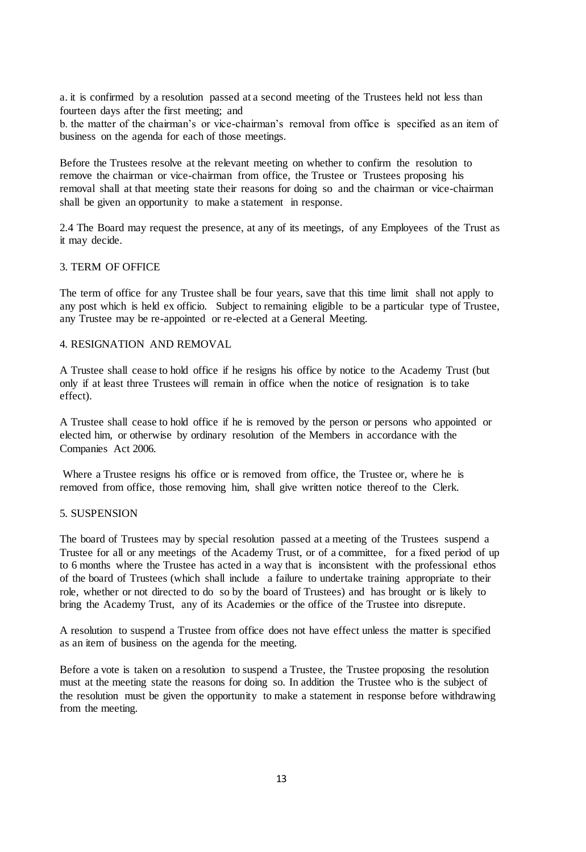a. it is confirmed by a resolution passed at a second meeting of the Trustees held not less than fourteen days after the first meeting; and

b. the matter of the chairman's or vice-chairman's removal from office is specified as an item of business on the agenda for each of those meetings.

Before the Trustees resolve at the relevant meeting on whether to confirm the resolution to remove the chairman or vice-chairman from office, the Trustee or Trustees proposing his removal shall at that meeting state their reasons for doing so and the chairman or vice-chairman shall be given an opportunity to make a statement in response.

2.4 The Board may request the presence, at any of its meetings, of any Employees of the Trust as it may decide.

#### 3. TERM OF OFFICE

The term of office for any Trustee shall be four years, save that this time limit shall not apply to any post which is held ex officio. Subject to remaining eligible to be a particular type of Trustee, any Trustee may be re-appointed or re-elected at a General Meeting.

#### 4. RESIGNATION AND REMOVAL

A Trustee shall cease to hold office if he resigns his office by notice to the Academy Trust (but only if at least three Trustees will remain in office when the notice of resignation is to take effect).

A Trustee shall cease to hold office if he is removed by the person or persons who appointed or elected him, or otherwise by ordinary resolution of the Members in accordance with the Companies Act 2006.

Where a Trustee resigns his office or is removed from office, the Trustee or, where he is removed from office, those removing him, shall give written notice thereof to the Clerk.

#### 5. SUSPENSION

The board of Trustees may by special resolution passed at a meeting of the Trustees suspend a Trustee for all or any meetings of the Academy Trust, or of a committee, for a fixed period of up to 6 months where the Trustee has acted in a way that is inconsistent with the professional ethos of the board of Trustees (which shall include a failure to undertake training appropriate to their role, whether or not directed to do so by the board of Trustees) and has brought or is likely to bring the Academy Trust, any of its Academies or the office of the Trustee into disrepute.

A resolution to suspend a Trustee from office does not have effect unless the matter is specified as an item of business on the agenda for the meeting.

Before a vote is taken on a resolution to suspend a Trustee, the Trustee proposing the resolution must at the meeting state the reasons for doing so. In addition the Trustee who is the subject of the resolution must be given the opportunity to make a statement in response before withdrawing from the meeting.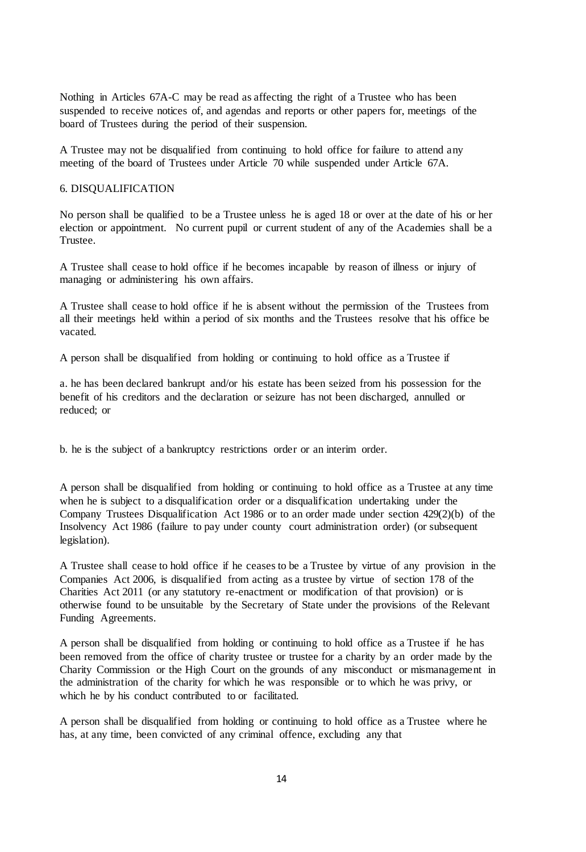Nothing in Articles 67A-C may be read as affecting the right of a Trustee who has been suspended to receive notices of, and agendas and reports or other papers for, meetings of the board of Trustees during the period of their suspension.

A Trustee may not be disqualified from continuing to hold office for failure to attend any meeting of the board of Trustees under Article 70 while suspended under Article 67A.

#### 6. DISQUALIFICATION

No person shall be qualified to be a Trustee unless he is aged 18 or over at the date of his or her election or appointment. No current pupil or current student of any of the Academies shall be a Trustee.

A Trustee shall cease to hold office if he becomes incapable by reason of illness or injury of managing or administering his own affairs.

A Trustee shall cease to hold office if he is absent without the permission of the Trustees from all their meetings held within a period of six months and the Trustees resolve that his office be vacated.

A person shall be disqualified from holding or continuing to hold office as a Trustee if

a. he has been declared bankrupt and/or his estate has been seized from his possession for the benefit of his creditors and the declaration or seizure has not been discharged, annulled or reduced; or

b. he is the subject of a bankruptcy restrictions order or an interim order.

A person shall be disqualified from holding or continuing to hold office as a Trustee at any time when he is subject to a disqualification order or a disqualification undertaking under the Company Trustees Disqualification Act 1986 or to an order made under section 429(2)(b) of the Insolvency Act 1986 (failure to pay under county court administration order) (or subsequent legislation).

A Trustee shall cease to hold office if he ceases to be a Trustee by virtue of any provision in the Companies Act 2006, is disqualified from acting as a trustee by virtue of section 178 of the Charities Act 2011 (or any statutory re-enactment or modification of that provision) or is otherwise found to be unsuitable by the Secretary of State under the provisions of the Relevant Funding Agreements.

A person shall be disqualified from holding or continuing to hold office as a Trustee if he has been removed from the office of charity trustee or trustee for a charity by an order made by the Charity Commission or the High Court on the grounds of any misconduct or mismanagement in the administration of the charity for which he was responsible or to which he was privy, or which he by his conduct contributed to or facilitated.

A person shall be disqualified from holding or continuing to hold office as a Trustee where he has, at any time, been convicted of any criminal offence, excluding any that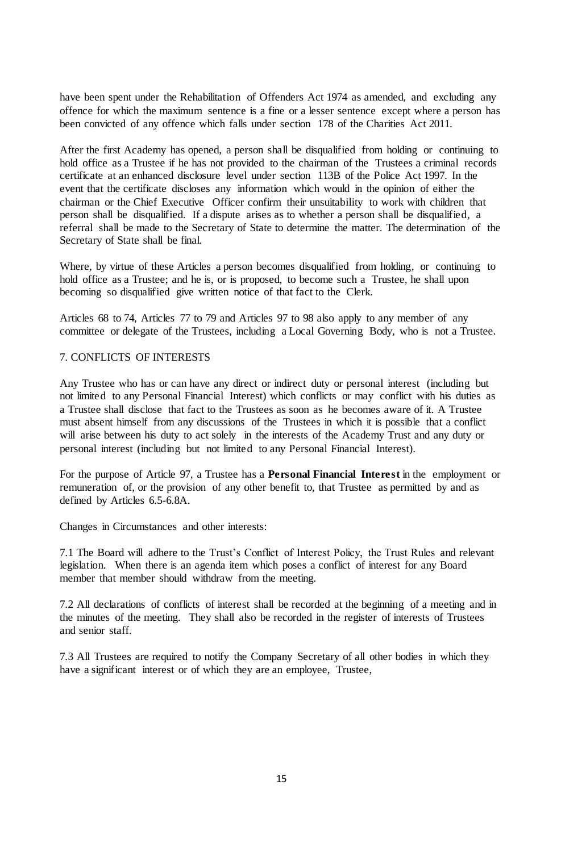have been spent under the Rehabilitation of Offenders Act 1974 as amended, and excluding any offence for which the maximum sentence is a fine or a lesser sentence except where a person has been convicted of any offence which falls under section 178 of the Charities Act 2011.

After the first Academy has opened, a person shall be disqualified from holding or continuing to hold office as a Trustee if he has not provided to the chairman of the Trustees a criminal records certificate at an enhanced disclosure level under section 113B of the Police Act 1997. In the event that the certificate discloses any information which would in the opinion of either the chairman or the Chief Executive Officer confirm their unsuitability to work with children that person shall be disqualified. If a dispute arises as to whether a person shall be disqualified, a referral shall be made to the Secretary of State to determine the matter. The determination of the Secretary of State shall be final.

Where, by virtue of these Articles a person becomes disqualified from holding, or continuing to hold office as a Trustee; and he is, or is proposed, to become such a Trustee, he shall upon becoming so disqualified give written notice of that fact to the Clerk.

Articles 68 to 74, Articles 77 to 79 and Articles 97 to 98 also apply to any member of any committee or delegate of the Trustees, including a Local Governing Body, who is not a Trustee.

## 7. CONFLICTS OF INTERESTS

Any Trustee who has or can have any direct or indirect duty or personal interest (including but not limited to any Personal Financial Interest) which conflicts or may conflict with his duties as a Trustee shall disclose that fact to the Trustees as soon as he becomes aware of it. A Trustee must absent himself from any discussions of the Trustees in which it is possible that a conflict will arise between his duty to act solely in the interests of the Academy Trust and any duty or personal interest (including but not limited to any Personal Financial Interest).

For the purpose of Article 97, a Trustee has a **Personal Financial Interest** in the employment or remuneration of, or the provision of any other benefit to, that Trustee as permitted by and as defined by Articles 6.5-6.8A.

Changes in Circumstances and other interests:

7.1 The Board will adhere to the Trust's Conflict of Interest Policy, the Trust Rules and relevant legislation. When there is an agenda item which poses a conflict of interest for any Board member that member should withdraw from the meeting.

7.2 All declarations of conflicts of interest shall be recorded at the beginning of a meeting and in the minutes of the meeting. They shall also be recorded in the register of interests of Trustees and senior staff.

7.3 All Trustees are required to notify the Company Secretary of all other bodies in which they have a significant interest or of which they are an employee, Trustee,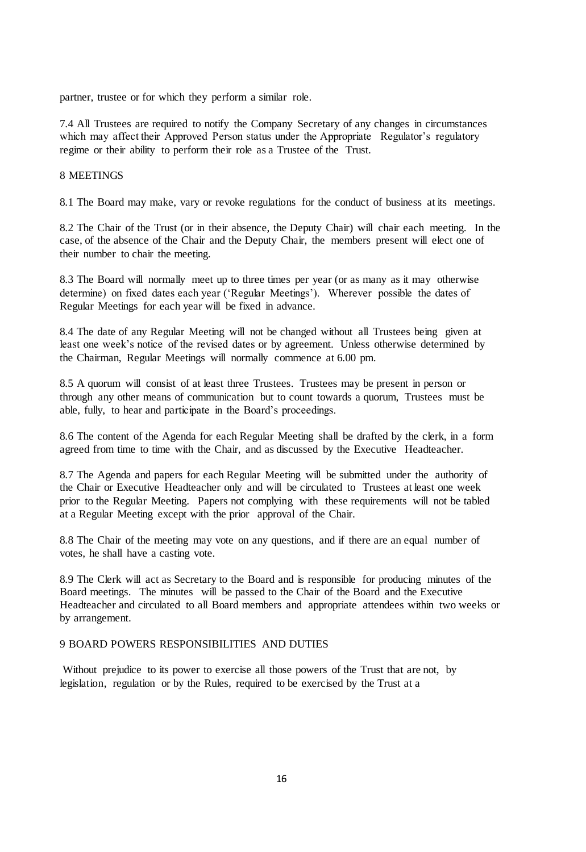partner, trustee or for which they perform a similar role.

7.4 All Trustees are required to notify the Company Secretary of any changes in circumstances which may affect their Approved Person status under the Appropriate Regulator's regulatory regime or their ability to perform their role as a Trustee of the Trust.

#### 8 MEETINGS

8.1 The Board may make, vary or revoke regulations for the conduct of business at its meetings.

8.2 The Chair of the Trust (or in their absence, the Deputy Chair) will chair each meeting. In the case, of the absence of the Chair and the Deputy Chair, the members present will elect one of their number to chair the meeting.

8.3 The Board will normally meet up to three times per year (or as many as it may otherwise determine) on fixed dates each year ('Regular Meetings'). Wherever possible the dates of Regular Meetings for each year will be fixed in advance.

8.4 The date of any Regular Meeting will not be changed without all Trustees being given at least one week's notice of the revised dates or by agreement. Unless otherwise determined by the Chairman, Regular Meetings will normally commence at 6.00 pm.

8.5 A quorum will consist of at least three Trustees. Trustees may be present in person or through any other means of communication but to count towards a quorum, Trustees must be able, fully, to hear and participate in the Board's proceedings.

8.6 The content of the Agenda for each Regular Meeting shall be drafted by the clerk, in a form agreed from time to time with the Chair, and as discussed by the Executive Headteacher.

8.7 The Agenda and papers for each Regular Meeting will be submitted under the authority of the Chair or Executive Headteacher only and will be circulated to Trustees at least one week prior to the Regular Meeting. Papers not complying with these requirements will not be tabled at a Regular Meeting except with the prior approval of the Chair.

8.8 The Chair of the meeting may vote on any questions, and if there are an equal number of votes, he shall have a casting vote.

8.9 The Clerk will act as Secretary to the Board and is responsible for producing minutes of the Board meetings. The minutes will be passed to the Chair of the Board and the Executive Headteacher and circulated to all Board members and appropriate attendees within two weeks or by arrangement.

#### 9 BOARD POWERS RESPONSIBILITIES AND DUTIES

Without prejudice to its power to exercise all those powers of the Trust that are not, by legislation, regulation or by the Rules, required to be exercised by the Trust at a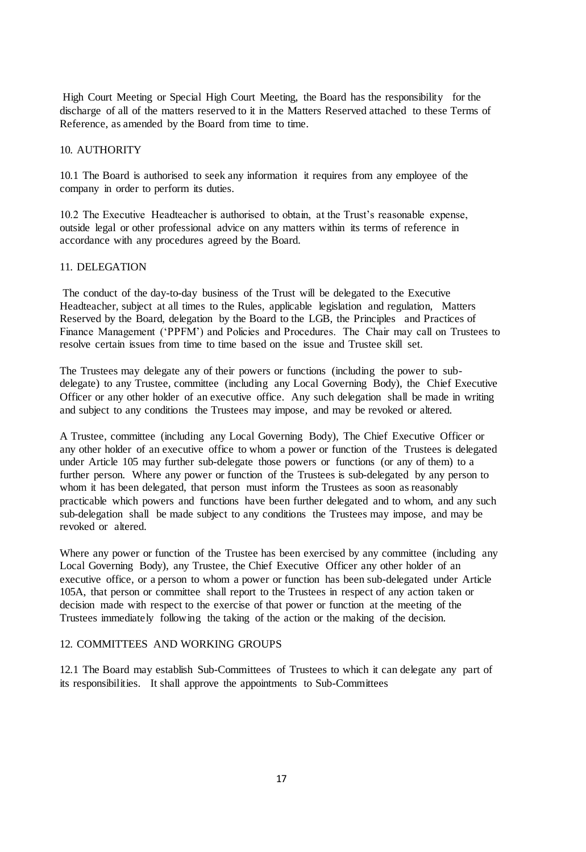High Court Meeting or Special High Court Meeting, the Board has the responsibility for the discharge of all of the matters reserved to it in the Matters Reserved attached to these Terms of Reference, as amended by the Board from time to time.

#### 10. AUTHORITY

10.1 The Board is authorised to seek any information it requires from any employee of the company in order to perform its duties.

10.2 The Executive Headteacher is authorised to obtain, at the Trust's reasonable expense, outside legal or other professional advice on any matters within its terms of reference in accordance with any procedures agreed by the Board.

### 11. DELEGATION

The conduct of the day-to-day business of the Trust will be delegated to the Executive Headteacher, subject at all times to the Rules, applicable legislation and regulation, Matters Reserved by the Board, delegation by the Board to the LGB, the Principles and Practices of Finance Management ('PPFM') and Policies and Procedures. The Chair may call on Trustees to resolve certain issues from time to time based on the issue and Trustee skill set.

The Trustees may delegate any of their powers or functions (including the power to subdelegate) to any Trustee, committee (including any Local Governing Body), the Chief Executive Officer or any other holder of an executive office. Any such delegation shall be made in writing and subject to any conditions the Trustees may impose, and may be revoked or altered.

A Trustee, committee (including any Local Governing Body), The Chief Executive Officer or any other holder of an executive office to whom a power or function of the Trustees is delegated under Article 105 may further sub-delegate those powers or functions (or any of them) to a further person. Where any power or function of the Trustees is sub-delegated by any person to whom it has been delegated, that person must inform the Trustees as soon as reasonably practicable which powers and functions have been further delegated and to whom, and any such sub-delegation shall be made subject to any conditions the Trustees may impose, and may be revoked or altered.

Where any power or function of the Trustee has been exercised by any committee (including any Local Governing Body), any Trustee, the Chief Executive Officer any other holder of an executive office, or a person to whom a power or function has been sub-delegated under Article 105A, that person or committee shall report to the Trustees in respect of any action taken or decision made with respect to the exercise of that power or function at the meeting of the Trustees immediately following the taking of the action or the making of the decision.

#### 12. COMMITTEES AND WORKING GROUPS

12.1 The Board may establish Sub-Committees of Trustees to which it can delegate any part of its responsibilities. It shall approve the appointments to Sub-Committees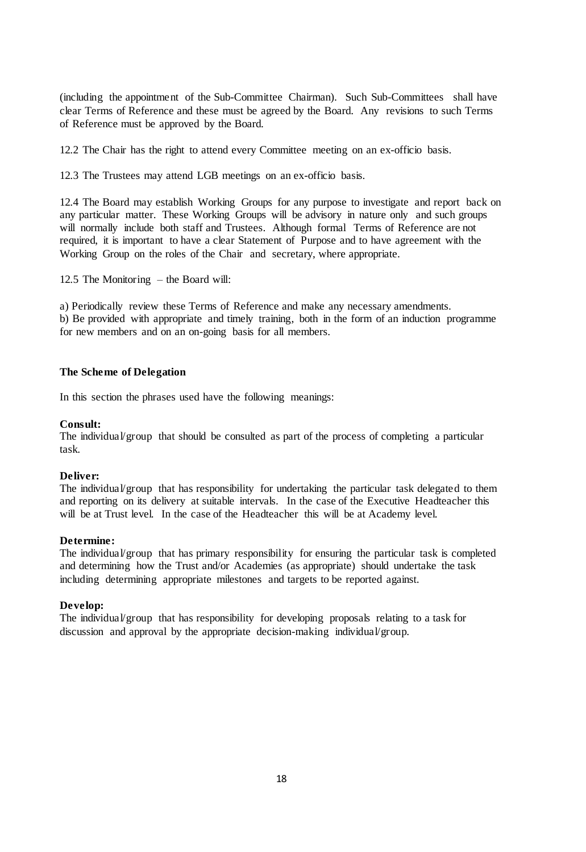(including the appointment of the Sub-Committee Chairman). Such Sub-Committees shall have clear Terms of Reference and these must be agreed by the Board. Any revisions to such Terms of Reference must be approved by the Board.

12.2 The Chair has the right to attend every Committee meeting on an ex-officio basis.

12.3 The Trustees may attend LGB meetings on an ex-officio basis.

12.4 The Board may establish Working Groups for any purpose to investigate and report back on any particular matter. These Working Groups will be advisory in nature only and such groups will normally include both staff and Trustees. Although formal Terms of Reference are not required, it is important to have a clear Statement of Purpose and to have agreement with the Working Group on the roles of the Chair and secretary, where appropriate.

12.5 The Monitoring – the Board will:

a) Periodically review these Terms of Reference and make any necessary amendments. b) Be provided with appropriate and timely training, both in the form of an induction programme for new members and on an on-going basis for all members.

### **The Scheme of Delegation**

In this section the phrases used have the following meanings:

#### **Consult:**

The individual/group that should be consulted as part of the process of completing a particular task.

## **Deliver:**

The individual/group that has responsibility for undertaking the particular task delegated to them and reporting on its delivery at suitable intervals. In the case of the Executive Headteacher this will be at Trust level. In the case of the Headteacher this will be at Academy level.

#### **Determine:**

The individual/group that has primary responsibility for ensuring the particular task is completed and determining how the Trust and/or Academies (as appropriate) should undertake the task including determining appropriate milestones and targets to be reported against.

#### **Develop:**

The individual/group that has responsibility for developing proposals relating to a task for discussion and approval by the appropriate decision-making individual/group.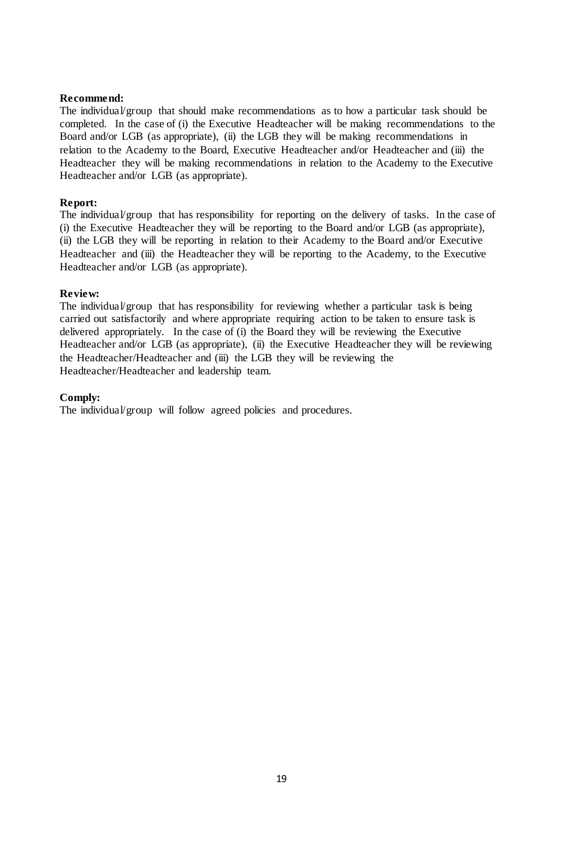## **Recommend:**

The individual/group that should make recommendations as to how a particular task should be completed. In the case of (i) the Executive Headteacher will be making recommendations to the Board and/or LGB (as appropriate), (ii) the LGB they will be making recommendations in relation to the Academy to the Board, Executive Headteacher and/or Headteacher and (iii) the Headteacher they will be making recommendations in relation to the Academy to the Executive Headteacher and/or LGB (as appropriate).

## **Report:**

The individual/group that has responsibility for reporting on the delivery of tasks. In the case of (i) the Executive Headteacher they will be reporting to the Board and/or LGB (as appropriate), (ii) the LGB they will be reporting in relation to their Academy to the Board and/or Executive Headteacher and (iii) the Headteacher they will be reporting to the Academy, to the Executive Headteacher and/or LGB (as appropriate).

#### **Review:**

The individual/group that has responsibility for reviewing whether a particular task is being carried out satisfactorily and where appropriate requiring action to be taken to ensure task is delivered appropriately. In the case of (i) the Board they will be reviewing the Executive Headteacher and/or LGB (as appropriate), (ii) the Executive Headteacher they will be reviewing the Headteacher/Headteacher and (iii) the LGB they will be reviewing the Headteacher/Headteacher and leadership team.

#### **Comply:**

The individual/group will follow agreed policies and procedures.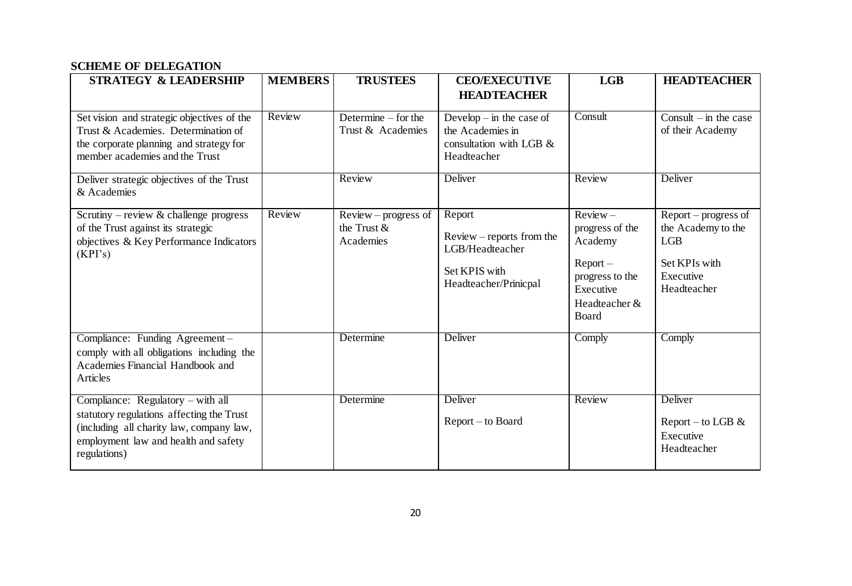# **SCHEME OF DELEGATION**

| <b>STRATEGY &amp; LEADERSHIP</b>                                                                                                                                                   | <b>MEMBERS</b> | <b>TRUSTEES</b>                                       | <b>CEO/EXECUTIVE</b><br><b>HEADTEACHER</b>                                                         | LGB                                                                                                                                     | <b>HEADTEACHER</b>                                                                                      |
|------------------------------------------------------------------------------------------------------------------------------------------------------------------------------------|----------------|-------------------------------------------------------|----------------------------------------------------------------------------------------------------|-----------------------------------------------------------------------------------------------------------------------------------------|---------------------------------------------------------------------------------------------------------|
| Set vision and strategic objectives of the<br>Trust & Academies. Determination of<br>the corporate planning and strategy for<br>member academies and the Trust                     | Review         | Determine $-$ for the<br>Trust & Academies            | Develop $-$ in the case of<br>the Academies in<br>consultation with LGB &<br>Headteacher           | Consult                                                                                                                                 | Consult $-$ in the case<br>of their Academy                                                             |
| Deliver strategic objectives of the Trust<br>& Academies                                                                                                                           |                | Review                                                | Deliver                                                                                            | Review                                                                                                                                  | Deliver                                                                                                 |
| Scrutiny – review & challenge progress<br>of the Trust against its strategic<br>objectives & Key Performance Indicators<br>(KPI's)                                                 | Review         | $Review$ – progress of<br>the Trust $\&$<br>Academies | Report<br>$Review$ - reports from the<br>LGB/Headteacher<br>Set KPIS with<br>Headteacher/Prinicpal | $\overline{\text{Review}}$<br>progress of the<br>Academy<br>$Report -$<br>progress to the<br>Executive<br>Headteacher &<br><b>Board</b> | $Report$ – progress of<br>the Academy to the<br><b>LGB</b><br>Set KPIs with<br>Executive<br>Headteacher |
| Compliance: Funding Agreement-<br>comply with all obligations including the<br>Academies Financial Handbook and<br>Articles                                                        |                | Determine                                             | Deliver                                                                                            | Comply                                                                                                                                  | Comply                                                                                                  |
| Compliance: Regulatory – with all<br>statutory regulations affecting the Trust<br>(including all charity law, company law,<br>employment law and health and safety<br>regulations) |                | Determine                                             | Deliver<br>Report – to Board                                                                       | Review                                                                                                                                  | Deliver<br>Report – to LGB $&$<br>Executive<br>Headteacher                                              |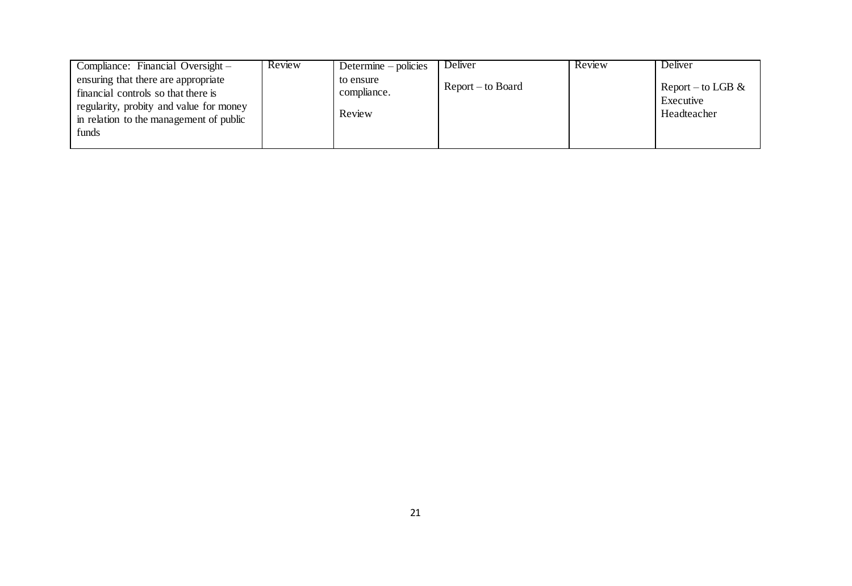| Compliance: Financial Oversight –                                                                                                                                         | Review | Determine $-$ policies             | Deliver           | Review | Deliver                                          |
|---------------------------------------------------------------------------------------------------------------------------------------------------------------------------|--------|------------------------------------|-------------------|--------|--------------------------------------------------|
| ensuring that there are appropriate<br>financial controls so that there is<br>regularity, probity and value for money<br>in relation to the management of public<br>funds |        | to ensure<br>compliance.<br>Review | Report – to Board |        | Report – to LGB $\&$<br>Executive<br>Headteacher |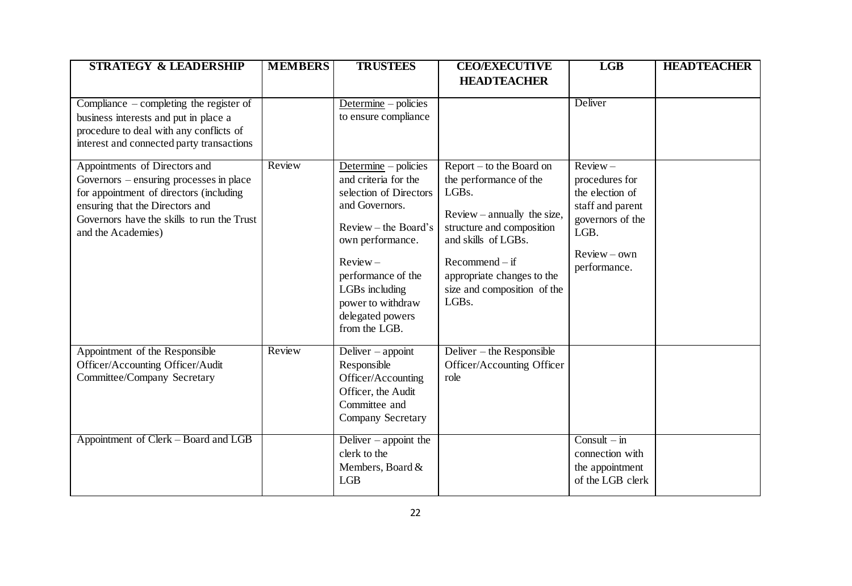| <b>STRATEGY &amp; LEADERSHIP</b>                                                                                                                                                                                           | <b>MEMBERS</b> | <b>TRUSTEES</b>                                                                                                                                                                                                                                          | <b>CEO/EXECUTIVE</b>                                                                                                                                                                                                                                                 | <b>LGB</b>                                                                                                                        | <b>HEADTEACHER</b> |
|----------------------------------------------------------------------------------------------------------------------------------------------------------------------------------------------------------------------------|----------------|----------------------------------------------------------------------------------------------------------------------------------------------------------------------------------------------------------------------------------------------------------|----------------------------------------------------------------------------------------------------------------------------------------------------------------------------------------------------------------------------------------------------------------------|-----------------------------------------------------------------------------------------------------------------------------------|--------------------|
|                                                                                                                                                                                                                            |                |                                                                                                                                                                                                                                                          | <b>HEADTEACHER</b>                                                                                                                                                                                                                                                   |                                                                                                                                   |                    |
| Compliance $-\text{completing}$ the register of<br>business interests and put in place a<br>procedure to deal with any conflicts of<br>interest and connected party transactions                                           |                | Determine – policies<br>to ensure compliance                                                                                                                                                                                                             |                                                                                                                                                                                                                                                                      | Deliver                                                                                                                           |                    |
| Appointments of Directors and<br>Governors - ensuring processes in place<br>for appointment of directors (including<br>ensuring that the Directors and<br>Governors have the skills to run the Trust<br>and the Academies) | Review         | Determine $-$ policies<br>and criteria for the<br>selection of Directors<br>and Governors.<br>$Review - the Board's$<br>own performance.<br>$Review -$<br>performance of the<br>LGBs including<br>power to withdraw<br>delegated powers<br>from the LGB. | Report – to the Board on<br>the performance of the<br>LGB <sub>s</sub> .<br>$Review - annually$ the size,<br>structure and composition<br>and skills of LGBs.<br>$Recommend - if$<br>appropriate changes to the<br>size and composition of the<br>LGB <sub>s</sub> . | $Review -$<br>procedures for<br>the election of<br>staff and parent<br>governors of the<br>LGB.<br>$Review - own$<br>performance. |                    |
| Appointment of the Responsible<br>Officer/Accounting Officer/Audit<br><b>Committee/Company Secretary</b>                                                                                                                   | Review         | Deliver $-$ appoint<br>Responsible<br>Officer/Accounting<br>Officer, the Audit<br>Committee and<br>Company Secretary                                                                                                                                     | Deliver – the Responsible<br>Officer/Accounting Officer<br>role                                                                                                                                                                                                      |                                                                                                                                   |                    |
| Appointment of Clerk – Board and LGB                                                                                                                                                                                       |                | Deliver $-$ appoint the<br>clerk to the<br>Members, Board &<br>LGB                                                                                                                                                                                       |                                                                                                                                                                                                                                                                      | $Const - in$<br>connection with<br>the appointment<br>of the LGB clerk                                                            |                    |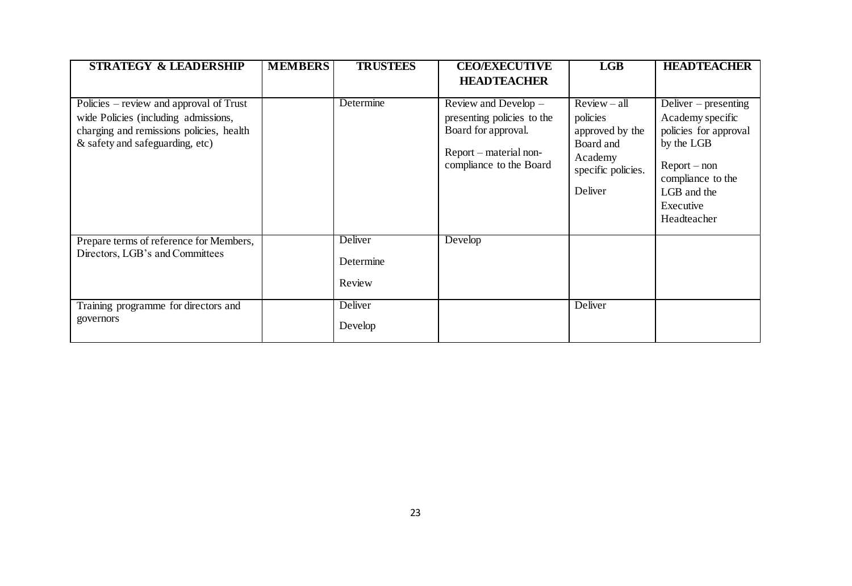| <b>STRATEGY &amp; LEADERSHIP</b>                                                                                                                               | <b>MEMBERS</b> | <b>TRUSTEES</b>                | <b>CEO/EXECUTIVE</b>                                                                                                             | LGB                                                                                                    | <b>HEADTEACHER</b>                                                                                                                                                  |
|----------------------------------------------------------------------------------------------------------------------------------------------------------------|----------------|--------------------------------|----------------------------------------------------------------------------------------------------------------------------------|--------------------------------------------------------------------------------------------------------|---------------------------------------------------------------------------------------------------------------------------------------------------------------------|
|                                                                                                                                                                |                |                                | <b>HEADTEACHER</b>                                                                                                               |                                                                                                        |                                                                                                                                                                     |
| Policies – review and approval of Trust<br>wide Policies (including admissions,<br>charging and remissions policies, health<br>& safety and safeguarding, etc) |                | Determine                      | Review and Develop $-$<br>presenting policies to the<br>Board for approval.<br>Report – material non-<br>compliance to the Board | $Review - all$<br>policies<br>approved by the<br>Board and<br>Academy<br>specific policies.<br>Deliver | Deliver $-$ presenting<br>Academy specific<br>policies for approval<br>by the LGB<br>$Report - non$<br>compliance to the<br>LGB and the<br>Executive<br>Headteacher |
| Prepare terms of reference for Members,<br>Directors, LGB's and Committees                                                                                     |                | Deliver<br>Determine<br>Review | Develop                                                                                                                          |                                                                                                        |                                                                                                                                                                     |
| Training programme for directors and<br>governors                                                                                                              |                | Deliver<br>Develop             |                                                                                                                                  | Deliver                                                                                                |                                                                                                                                                                     |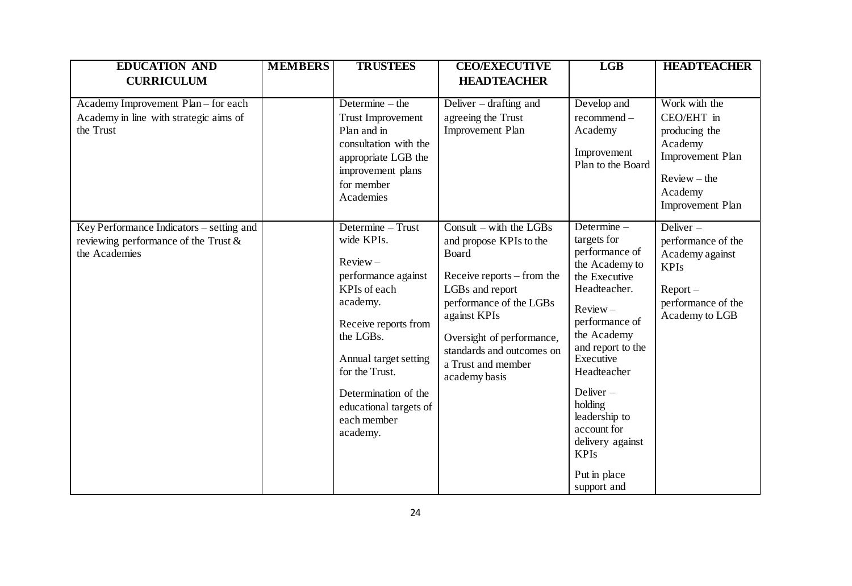| <b>EDUCATION AND</b>                                                                                 | <b>MEMBERS</b> | <b>TRUSTEES</b>                                                                                                                                                                                                                                               | <b>CEO/EXECUTIVE</b>                                                                                                                                                                                                                                     | <b>LGB</b>                                                                                                                                                                                                                                                                                                                    | <b>HEADTEACHER</b>                                                                                                           |
|------------------------------------------------------------------------------------------------------|----------------|---------------------------------------------------------------------------------------------------------------------------------------------------------------------------------------------------------------------------------------------------------------|----------------------------------------------------------------------------------------------------------------------------------------------------------------------------------------------------------------------------------------------------------|-------------------------------------------------------------------------------------------------------------------------------------------------------------------------------------------------------------------------------------------------------------------------------------------------------------------------------|------------------------------------------------------------------------------------------------------------------------------|
| <b>CURRICULUM</b>                                                                                    |                |                                                                                                                                                                                                                                                               | <b>HEADTEACHER</b>                                                                                                                                                                                                                                       |                                                                                                                                                                                                                                                                                                                               |                                                                                                                              |
| Academy Improvement Plan - for each<br>Academy in line with strategic aims of<br>the Trust           |                | Determine $-$ the<br><b>Trust Improvement</b><br>Plan and in<br>consultation with the<br>appropriate LGB the<br>improvement plans<br>for member<br>Academies                                                                                                  | Deliver – drafting and<br>agreeing the Trust<br>Improvement Plan                                                                                                                                                                                         | Develop and<br>recommend-<br>Academy<br>Improvement<br>Plan to the Board                                                                                                                                                                                                                                                      | Work with the<br>CEO/EHT in<br>producing the<br>Academy<br>Improvement Plan<br>$Review - the$<br>Academy<br>Improvement Plan |
| Key Performance Indicators – setting and<br>reviewing performance of the Trust $\&$<br>the Academies |                | Determine - Trust<br>wide KPIs.<br>$Review -$<br>performance against<br>KPIs of each<br>academy.<br>Receive reports from<br>the LGBs.<br>Annual target setting<br>for the Trust.<br>Determination of the<br>educational targets of<br>each member<br>academy. | Consult – with the LGBs<br>and propose KPIs to the<br>Board<br>Receive reports – from the<br>LGBs and report<br>performance of the LGBs<br>against KPIs<br>Oversight of performance,<br>standards and outcomes on<br>a Trust and member<br>academy basis | Determine $-$<br>targets for<br>performance of<br>the Academy to<br>the Executive<br>Headteacher.<br>$Review -$<br>performance of<br>the Academy<br>and report to the<br>Executive<br>Headteacher<br>Deliver $-$<br>holding<br>leadership to<br>account for<br>delivery against<br><b>KPIs</b><br>Put in place<br>support and | Deliver $-$<br>performance of the<br>Academy against<br><b>KPIs</b><br>$Report -$<br>performance of the<br>Academy to LGB    |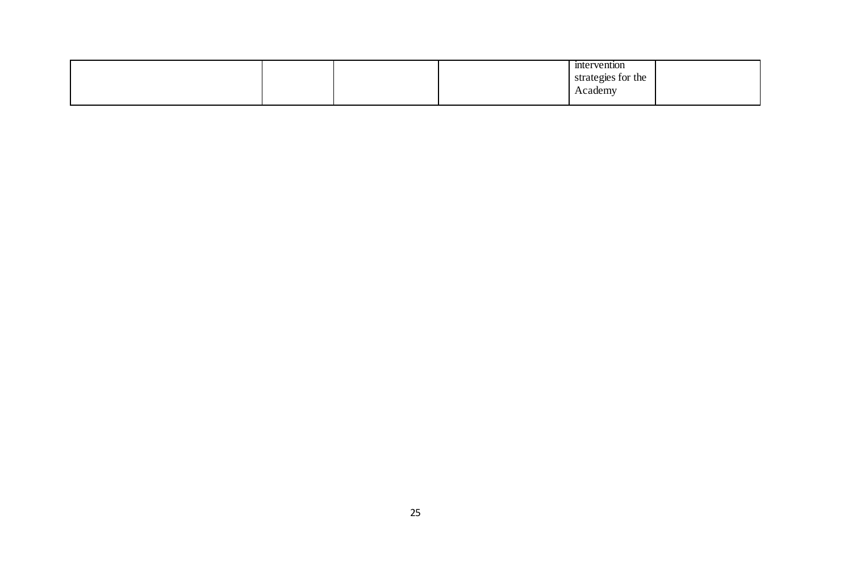|  |  | mtervention        |  |
|--|--|--------------------|--|
|  |  | strategies for the |  |
|  |  | Academy            |  |
|  |  |                    |  |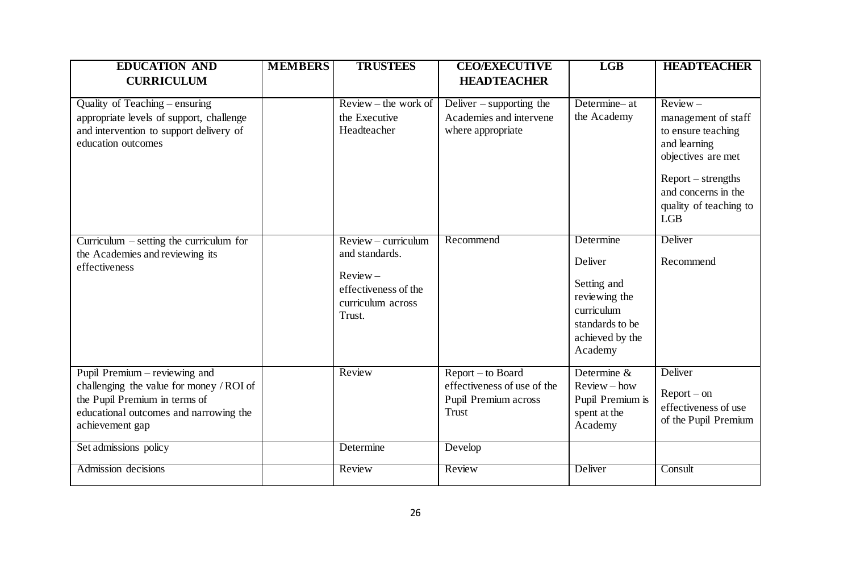| <b>EDUCATION AND</b>                                                                                                                                                    | <b>MEMBERS</b> | <b>TRUSTEES</b>                                                                     | <b>CEO/EXECUTIVE</b>                                                                     | <b>LGB</b>                                                                                             | <b>HEADTEACHER</b>                                                                                                                                                                     |
|-------------------------------------------------------------------------------------------------------------------------------------------------------------------------|----------------|-------------------------------------------------------------------------------------|------------------------------------------------------------------------------------------|--------------------------------------------------------------------------------------------------------|----------------------------------------------------------------------------------------------------------------------------------------------------------------------------------------|
| <b>CURRICULUM</b>                                                                                                                                                       |                |                                                                                     | <b>HEADTEACHER</b>                                                                       |                                                                                                        |                                                                                                                                                                                        |
| Quality of Teaching - ensuring<br>appropriate levels of support, challenge<br>and intervention to support delivery of<br>education outcomes                             |                | $Review - the work of$<br>the Executive<br>Headteacher<br>$Review-curriculum$       | Deliver $-$ supporting the<br>Academies and intervene<br>where appropriate<br>Recommend  | Determine-at<br>the Academy<br>Determine                                                               | $Review -$<br>management of staff<br>to ensure teaching<br>and learning<br>objectives are met<br>Report – strengths<br>and concerns in the<br>quality of teaching to<br>LGB<br>Deliver |
| Curriculum $\overline{-}$ setting the curriculum for<br>the Academies and reviewing its<br>effectiveness                                                                |                | and standards.<br>$Review -$<br>effectiveness of the<br>curriculum across<br>Trust. |                                                                                          | Deliver<br>Setting and<br>reviewing the<br>curriculum<br>standards to be<br>achieved by the<br>Academy | Recommend                                                                                                                                                                              |
| Pupil Premium – reviewing and<br>challenging the value for money / ROI of<br>the Pupil Premium in terms of<br>educational outcomes and narrowing the<br>achievement gap |                | Review                                                                              | Report - to Board<br>effectiveness of use of the<br>Pupil Premium across<br><b>Trust</b> | Determine &<br>$Review - how$<br>Pupil Premium is<br>spent at the<br>Academy                           | Deliver<br>$Report-on$<br>effectiveness of use<br>of the Pupil Premium                                                                                                                 |
| Set admissions policy                                                                                                                                                   |                | Determine                                                                           | Develop                                                                                  |                                                                                                        |                                                                                                                                                                                        |
| Admission decisions                                                                                                                                                     |                | Review                                                                              | Review                                                                                   | Deliver                                                                                                | Consult                                                                                                                                                                                |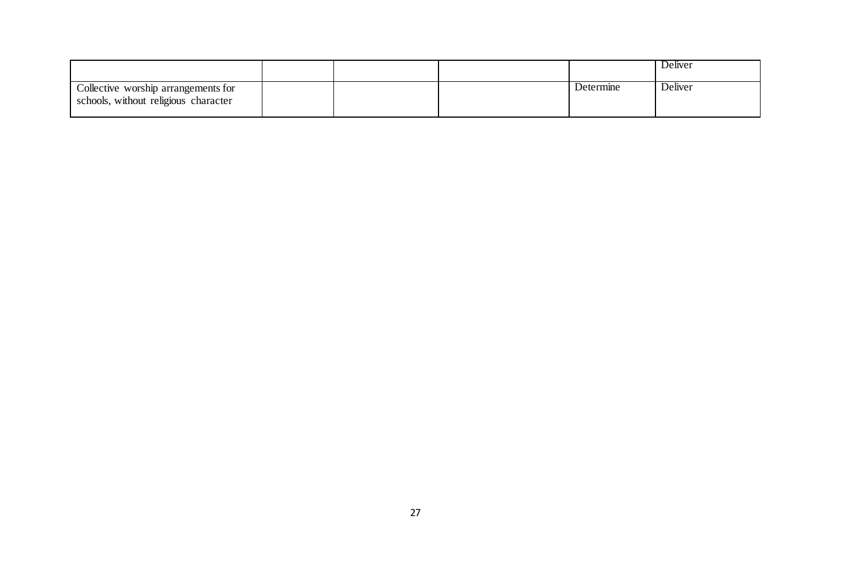|                                                                             |  |           | Deliver |
|-----------------------------------------------------------------------------|--|-----------|---------|
| Collective worship arrangements for<br>schools, without religious character |  | Determine | Deliver |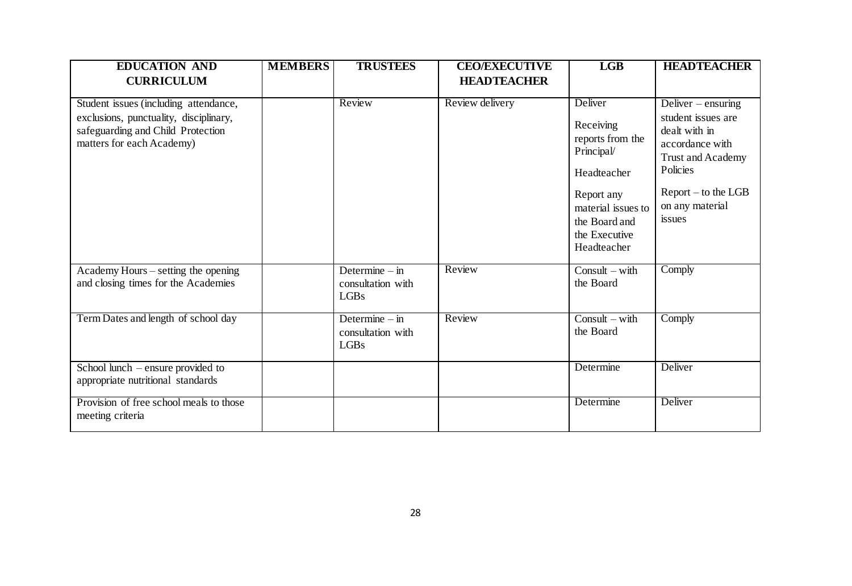| <b>EDUCATION AND</b>                                                                                                                              | <b>MEMBERS</b> | <b>TRUSTEES</b>                                            | <b>CEO/EXECUTIVE</b> | LGB                                                                                                                                                        | <b>HEADTEACHER</b>                                                                                                                                                  |
|---------------------------------------------------------------------------------------------------------------------------------------------------|----------------|------------------------------------------------------------|----------------------|------------------------------------------------------------------------------------------------------------------------------------------------------------|---------------------------------------------------------------------------------------------------------------------------------------------------------------------|
| <b>CURRICULUM</b>                                                                                                                                 |                |                                                            | <b>HEADTEACHER</b>   |                                                                                                                                                            |                                                                                                                                                                     |
| Student issues (including attendance,<br>exclusions, punctuality, disciplinary,<br>safeguarding and Child Protection<br>matters for each Academy) |                | Review                                                     | Review delivery      | Deliver<br>Receiving<br>reports from the<br>Principal/<br>Headteacher<br>Report any<br>material issues to<br>the Board and<br>the Executive<br>Headteacher | Deliver – ensuring<br>student issues are<br>dealt with in<br>accordance with<br>Trust and Academy<br>Policies<br>$Report - to the LGB$<br>on any material<br>issues |
| Academy Hours – setting the opening<br>and closing times for the Academies                                                                        |                | Determine $-\text{in}$<br>consultation with<br><b>LGBs</b> | Review               | Consult $-$ with<br>the Board                                                                                                                              | Comply                                                                                                                                                              |
| Term Dates and length of school day                                                                                                               |                | Determine $-$ in<br>consultation with<br><b>LGBs</b>       | Review               | $Consider - with$<br>the Board                                                                                                                             | Comply                                                                                                                                                              |
| School lunch – ensure provided to<br>appropriate nutritional standards                                                                            |                |                                                            |                      | Determine                                                                                                                                                  | Deliver                                                                                                                                                             |
| Provision of free school meals to those<br>meeting criteria                                                                                       |                |                                                            |                      | Determine                                                                                                                                                  | Deliver                                                                                                                                                             |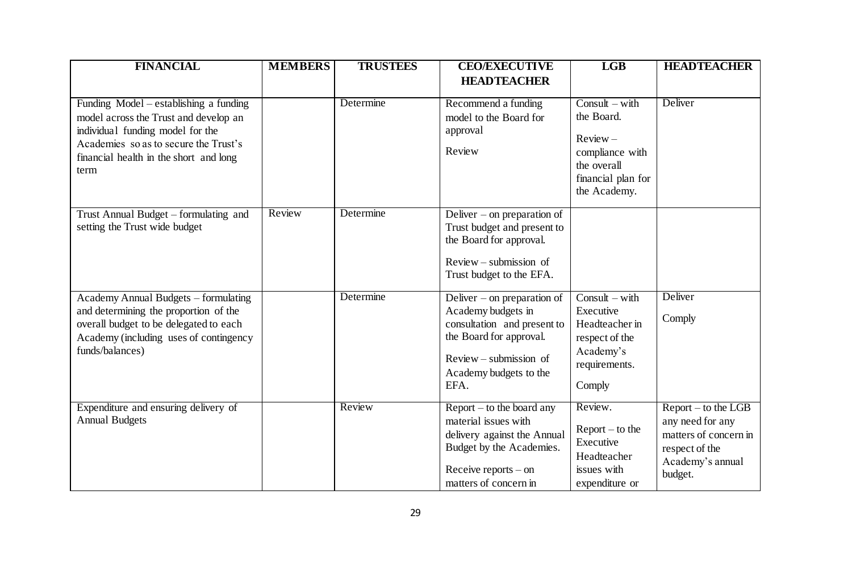| <b>FINANCIAL</b>                                                                                                                                                                                               | <b>MEMBERS</b> | <b>TRUSTEES</b> | <b>CEO/EXECUTIVE</b>                                                                                                                                                    | <b>LGB</b>                                                                                                            | <b>HEADTEACHER</b>                                                                                                  |
|----------------------------------------------------------------------------------------------------------------------------------------------------------------------------------------------------------------|----------------|-----------------|-------------------------------------------------------------------------------------------------------------------------------------------------------------------------|-----------------------------------------------------------------------------------------------------------------------|---------------------------------------------------------------------------------------------------------------------|
|                                                                                                                                                                                                                |                |                 | <b>HEADTEACHER</b>                                                                                                                                                      |                                                                                                                       |                                                                                                                     |
| Funding Model – establishing a funding<br>model across the Trust and develop an<br>individual funding model for the<br>Academies so as to secure the Trust's<br>financial health in the short and long<br>term |                | Determine       | Recommend a funding<br>model to the Board for<br>approval<br>Review                                                                                                     | $Consider - with$<br>the Board.<br>$Review -$<br>compliance with<br>the overall<br>financial plan for<br>the Academy. | Deliver                                                                                                             |
| Trust Annual Budget – formulating and<br>setting the Trust wide budget                                                                                                                                         | Review         | Determine       | Deliver – on preparation of<br>Trust budget and present to<br>the Board for approval.<br>$Review-submission of$<br>Trust budget to the EFA.                             |                                                                                                                       |                                                                                                                     |
| Academy Annual Budgets – formulating<br>and determining the proportion of the<br>overall budget to be delegated to each<br>Academy (including uses of contingency<br>funds/balances)                           |                | Determine       | Deliver – on preparation of<br>Academy budgets in<br>consultation and present to<br>the Board for approval.<br>$Review-submission of$<br>Academy budgets to the<br>EFA. | $Consider - with$<br>Executive<br>Headteacher in<br>respect of the<br>Academy's<br>requirements.<br>Comply            | Deliver<br>Comply                                                                                                   |
| Expenditure and ensuring delivery of<br><b>Annual Budgets</b>                                                                                                                                                  |                | Review          | $Report - to the board any$<br>material issues with<br>delivery against the Annual<br>Budget by the Academies.<br>Receive reports $-$ on<br>matters of concern in       | Review.<br>$Report - to the$<br>Executive<br>Headteacher<br>issues with<br>expenditure or                             | $Report - to the LGB$<br>any need for any<br>matters of concern in<br>respect of the<br>Academy's annual<br>budget. |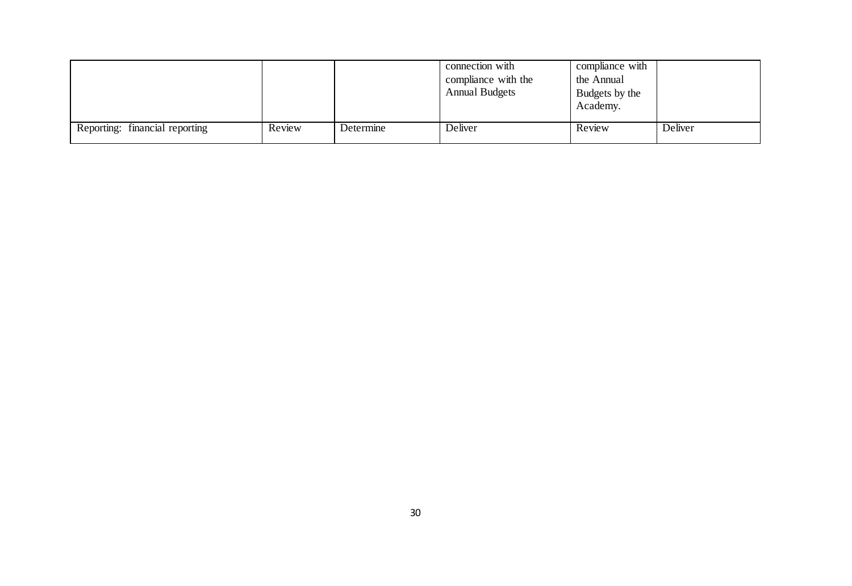|                                |        |           | connection with<br>compliance with the<br><b>Annual Budgets</b> | compliance with<br>the Annual<br>Budgets by the<br>Academy. |         |
|--------------------------------|--------|-----------|-----------------------------------------------------------------|-------------------------------------------------------------|---------|
| Reporting: financial reporting | Review | Determine | Deliver                                                         | Review                                                      | Deliver |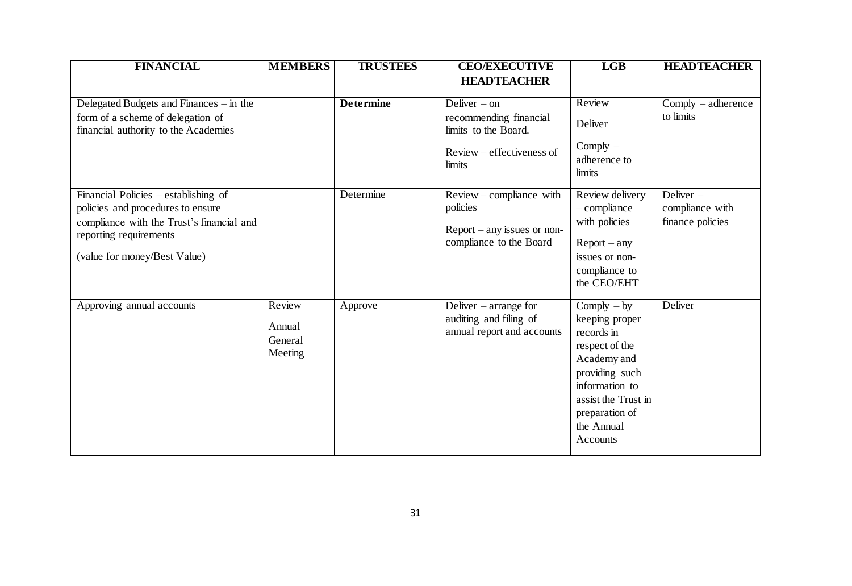| <b>FINANCIAL</b>                                                                                                                                                                 | <b>MEMBERS</b>                         | <b>TRUSTEES</b>  | <b>CEO/EXECUTIVE</b>                                                                                                          | <b>LGB</b>                                                                                                                                                                                               | <b>HEADTEACHER</b>                                 |
|----------------------------------------------------------------------------------------------------------------------------------------------------------------------------------|----------------------------------------|------------------|-------------------------------------------------------------------------------------------------------------------------------|----------------------------------------------------------------------------------------------------------------------------------------------------------------------------------------------------------|----------------------------------------------------|
| Delegated Budgets and Finances – in the<br>form of a scheme of delegation of<br>financial authority to the Academies                                                             |                                        | <b>Determine</b> | <b>HEADTEACHER</b><br>Deliver $-$ on<br>recommending financial<br>limits to the Board.<br>Review – effectiveness of<br>limits | Review<br>Deliver<br>$Comply$ –<br>adherence to<br>limits                                                                                                                                                | $Comply - adherence$<br>to limits                  |
| Financial Policies – establishing of<br>policies and procedures to ensure<br>compliance with the Trust's financial and<br>reporting requirements<br>(value for money/Best Value) |                                        | Determine        | Review – compliance with<br>policies<br>$Report - any issues or non-$<br>compliance to the Board                              | Review delivery<br>$-$ compliance<br>with policies<br>$Report - any$<br>issues or non-<br>compliance to<br>the CEO/EHT                                                                                   | Deliver $-$<br>compliance with<br>finance policies |
| Approving annual accounts                                                                                                                                                        | Review<br>Annual<br>General<br>Meeting | Approve          | Deliver – arrange for<br>auditing and filing of<br>annual report and accounts                                                 | $\overline{\text{Complex}}$ – by<br>keeping proper<br>records in<br>respect of the<br>Academy and<br>providing such<br>information to<br>assist the Trust in<br>preparation of<br>the Annual<br>Accounts | Deliver                                            |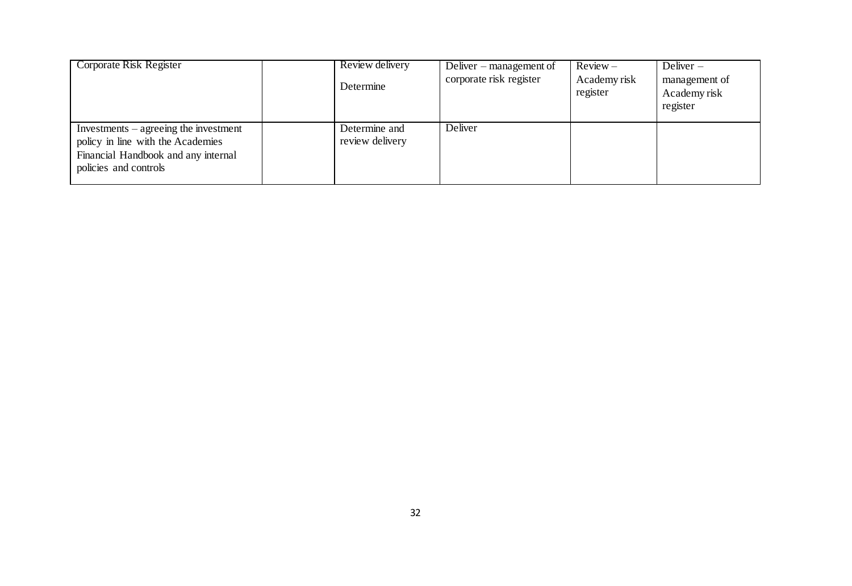| Corporate Risk Register                 | Review delivery | Deliver – management of | $Review -$               | Deliver $-$                               |
|-----------------------------------------|-----------------|-------------------------|--------------------------|-------------------------------------------|
|                                         | Determine       | corporate risk register | Academy risk<br>register | management of<br>Academy risk<br>register |
| $Investments - agreeing the investment$ | Determine and   | Deliver                 |                          |                                           |
| policy in line with the Academies       | review delivery |                         |                          |                                           |
| Financial Handbook and any internal     |                 |                         |                          |                                           |
| policies and controls                   |                 |                         |                          |                                           |
|                                         |                 |                         |                          |                                           |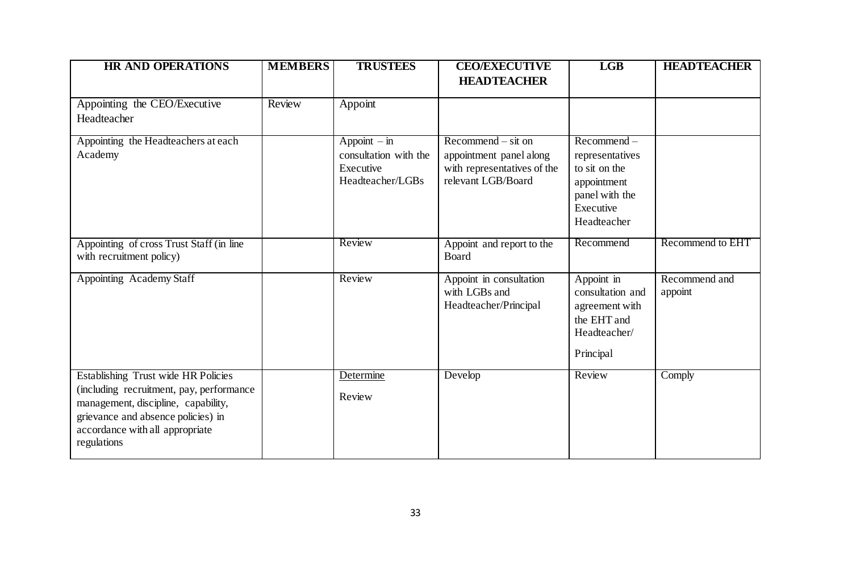| <b>HR AND OPERATIONS</b>                                                                                                                                                                                       | <b>MEMBERS</b> | <b>TRUSTEES</b>                                                          | <b>CEO/EXECUTIVE</b><br><b>HEADTEACHER</b>                                                           | LGB                                                                                                            | <b>HEADTEACHER</b>       |
|----------------------------------------------------------------------------------------------------------------------------------------------------------------------------------------------------------------|----------------|--------------------------------------------------------------------------|------------------------------------------------------------------------------------------------------|----------------------------------------------------------------------------------------------------------------|--------------------------|
| Appointing the CEO/Executive                                                                                                                                                                                   | Review         | Appoint                                                                  |                                                                                                      |                                                                                                                |                          |
| Headteacher                                                                                                                                                                                                    |                |                                                                          |                                                                                                      |                                                                                                                |                          |
| Appointing the Headteachers at each<br>Academy                                                                                                                                                                 |                | $Appoint - in$<br>consultation with the<br>Executive<br>Headteacher/LGBs | $Recommend - sit$ on<br>appointment panel along<br>with representatives of the<br>relevant LGB/Board | $Recommend -$<br>representatives<br>to sit on the<br>appointment<br>panel with the<br>Executive<br>Headteacher |                          |
| Appointing of cross Trust Staff (in line<br>with recruitment policy)                                                                                                                                           |                | Review                                                                   | Appoint and report to the<br>Board                                                                   | Recommend                                                                                                      | Recommend to EHT         |
| Appointing Academy Staff                                                                                                                                                                                       |                | Review                                                                   | Appoint in consultation<br>with LGBs and<br>Headteacher/Principal                                    | Appoint in<br>consultation and<br>agreement with<br>the EHT and<br>Headteacher/<br>Principal                   | Recommend and<br>appoint |
| Establishing Trust wide HR Policies<br>(including recruitment, pay, performance<br>management, discipline, capability,<br>grievance and absence policies) in<br>accordance with all appropriate<br>regulations |                | Determine<br>Review                                                      | Develop                                                                                              | Review                                                                                                         | Comply                   |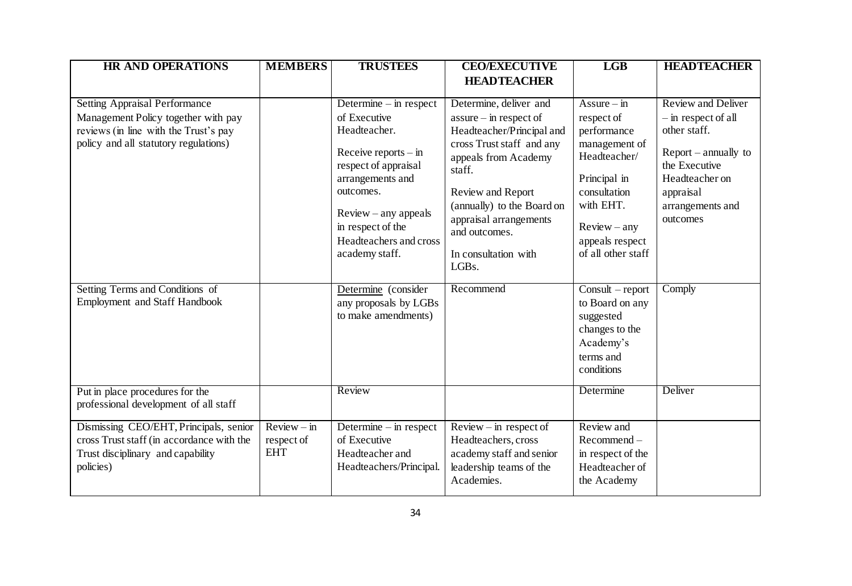| <b>HR AND OPERATIONS</b>                                                                                                                                      | <b>MEMBERS</b>                            | <b>TRUSTEES</b>                                                                                                                                                                                                                        | <b>CEO/EXECUTIVE</b>                                                                                                                                                                                                                                                                       | <b>LGB</b>                                                                                                                                                                          | <b>HEADTEACHER</b>                                                                                                                                                         |
|---------------------------------------------------------------------------------------------------------------------------------------------------------------|-------------------------------------------|----------------------------------------------------------------------------------------------------------------------------------------------------------------------------------------------------------------------------------------|--------------------------------------------------------------------------------------------------------------------------------------------------------------------------------------------------------------------------------------------------------------------------------------------|-------------------------------------------------------------------------------------------------------------------------------------------------------------------------------------|----------------------------------------------------------------------------------------------------------------------------------------------------------------------------|
|                                                                                                                                                               |                                           |                                                                                                                                                                                                                                        | <b>HEADTEACHER</b>                                                                                                                                                                                                                                                                         |                                                                                                                                                                                     |                                                                                                                                                                            |
| <b>Setting Appraisal Performance</b><br>Management Policy together with pay<br>reviews (in line with the Trust's pay<br>policy and all statutory regulations) |                                           | Determine $-$ in respect<br>of Executive<br>Headteacher.<br>Receive reports $-$ in<br>respect of appraisal<br>arrangements and<br>outcomes.<br>$Review - any appears$<br>in respect of the<br>Headteachers and cross<br>academy staff. | Determine, deliver and<br>$assume - in respect of$<br>Headteacher/Principal and<br>cross Trust staff and any<br>appeals from Academy<br>staff.<br>Review and Report<br>(annually) to the Board on<br>appraisal arrangements<br>and outcomes.<br>In consultation with<br>LGB <sub>s</sub> . | $Assure - in$<br>respect of<br>performance<br>management of<br>Headteacher/<br>Principal in<br>consultation<br>with EHT.<br>$Review - any$<br>appeals respect<br>of all other staff | <b>Review and Deliver</b><br>- in respect of all<br>other staff.<br>$Report - annually to$<br>the Executive<br>Headteacher on<br>appraisal<br>arrangements and<br>outcomes |
| Setting Terms and Conditions of<br><b>Employment and Staff Handbook</b><br>Put in place procedures for the                                                    |                                           | Determine (consider<br>any proposals by LGBs<br>to make amendments)<br>Review                                                                                                                                                          | Recommend                                                                                                                                                                                                                                                                                  | $Consider$ - report<br>to Board on any<br>suggested<br>changes to the<br>Academy's<br>terms and<br>conditions<br>Determine                                                          | Comply<br>Deliver                                                                                                                                                          |
| professional development of all staff                                                                                                                         |                                           |                                                                                                                                                                                                                                        |                                                                                                                                                                                                                                                                                            |                                                                                                                                                                                     |                                                                                                                                                                            |
| Dismissing CEO/EHT, Principals, senior<br>cross Trust staff (in accordance with the<br>Trust disciplinary and capability<br>policies)                         | $Review - in$<br>respect of<br><b>EHT</b> | Determine $-$ in respect<br>of Executive<br>Headteacher and<br>Headteachers/Principal.                                                                                                                                                 | $Review - in respect of$<br>Headteachers, cross<br>academy staff and senior<br>leadership teams of the<br>Academies.                                                                                                                                                                       | Review and<br>Recommend-<br>in respect of the<br>Headteacher of<br>the Academy                                                                                                      |                                                                                                                                                                            |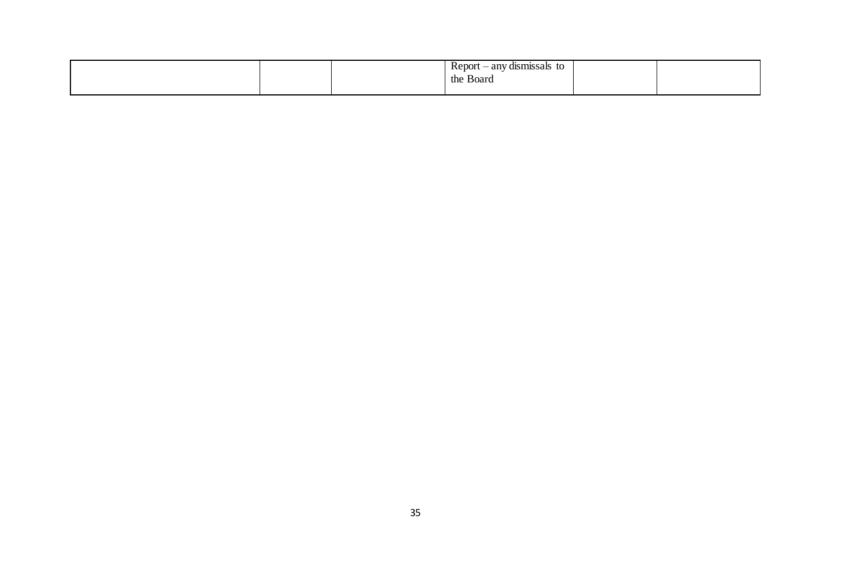|  | any<br>7 dismissals -<br>to<br><b>NEPOL</b> |  |
|--|---------------------------------------------|--|
|  | the<br>Board                                |  |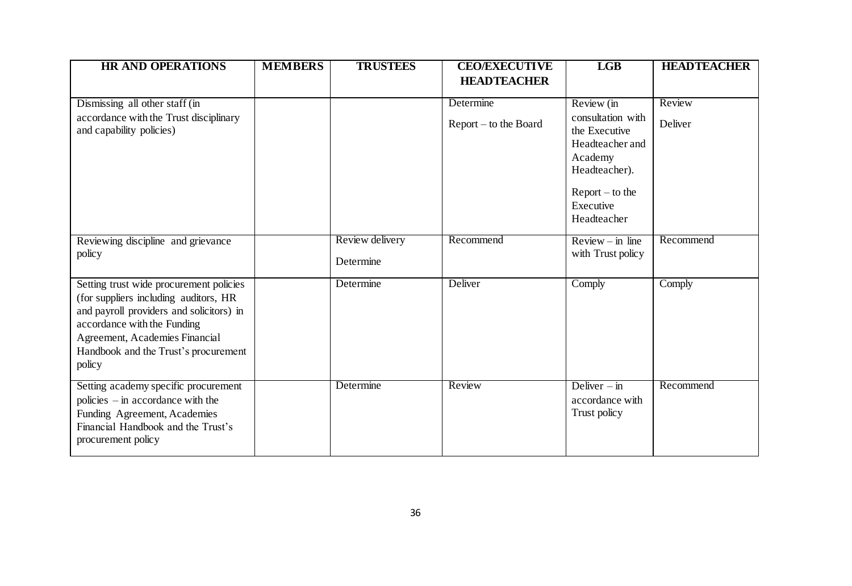| <b>HR AND OPERATIONS</b>                                                                                                                                                                                                                        | <b>MEMBERS</b> | <b>TRUSTEES</b>              | <b>CEO/EXECUTIVE</b><br><b>HEADTEACHER</b> | <b>LGB</b>                                              | <b>HEADTEACHER</b> |
|-------------------------------------------------------------------------------------------------------------------------------------------------------------------------------------------------------------------------------------------------|----------------|------------------------------|--------------------------------------------|---------------------------------------------------------|--------------------|
|                                                                                                                                                                                                                                                 |                |                              |                                            |                                                         |                    |
| Dismissing all other staff (in                                                                                                                                                                                                                  |                |                              | Determine                                  | Review (in                                              | Review             |
| accordance with the Trust disciplinary<br>and capability policies)                                                                                                                                                                              |                |                              | Report – to the Board                      | consultation with<br>the Executive                      | Deliver            |
|                                                                                                                                                                                                                                                 |                |                              |                                            | Headteacher and<br>Academy<br>Headteacher).             |                    |
|                                                                                                                                                                                                                                                 |                |                              |                                            | $Report - to the$<br>Executive<br>Headteacher           |                    |
| Reviewing discipline and grievance<br>policy                                                                                                                                                                                                    |                | Review delivery<br>Determine | Recommend                                  | $Review - in line$<br>with Trust policy                 | Recommend          |
| Setting trust wide procurement policies<br>(for suppliers including auditors, HR<br>and payroll providers and solicitors) in<br>accordance with the Funding<br>Agreement, Academies Financial<br>Handbook and the Trust's procurement<br>policy |                | Determine                    | Deliver                                    | Comply                                                  | Comply             |
| Setting academy specific procurement<br>policies $-$ in accordance with the<br>Funding Agreement, Academies<br>Financial Handbook and the Trust's<br>procurement policy                                                                         |                | Determine                    | Review                                     | Deliver $-\text{in}$<br>accordance with<br>Trust policy | Recommend          |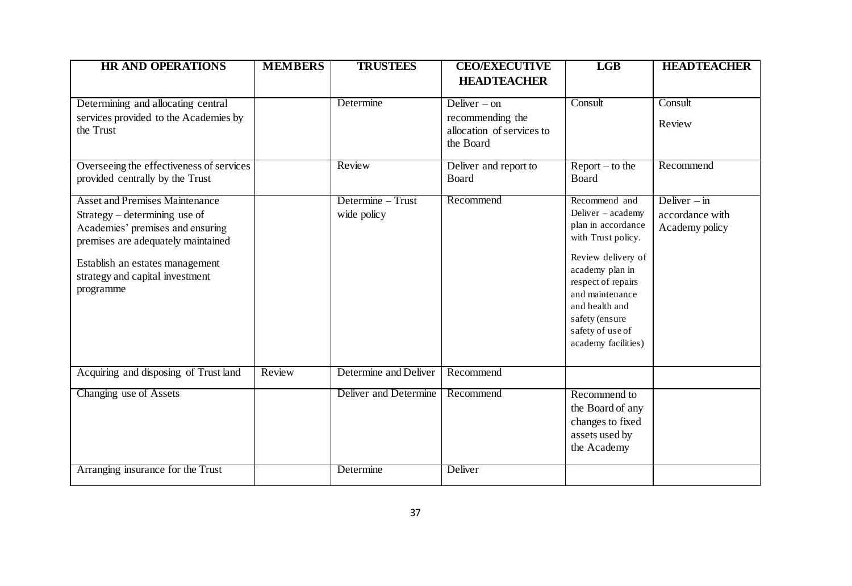| <b>HR AND OPERATIONS</b>                                               | <b>MEMBERS</b> | <b>TRUSTEES</b>       | <b>CEO/EXECUTIVE</b>                                       | LGB                                     | <b>HEADTEACHER</b>                |
|------------------------------------------------------------------------|----------------|-----------------------|------------------------------------------------------------|-----------------------------------------|-----------------------------------|
|                                                                        |                |                       | <b>HEADTEACHER</b>                                         |                                         |                                   |
| Determining and allocating central                                     |                | Determine             | Deliver $-$ on                                             | Consult                                 | Consult                           |
| services provided to the Academies by<br>the Trust                     |                |                       | recommending the<br>allocation of services to<br>the Board |                                         | Review                            |
| Overseeing the effectiveness of services                               |                | Review                | Deliver and report to                                      | $Report - to the$                       | Recommend                         |
| provided centrally by the Trust                                        |                |                       | <b>Board</b>                                               | <b>Board</b>                            |                                   |
| <b>Asset and Premises Maintenance</b>                                  |                | Determine - Trust     | Recommend                                                  | Recommend and                           | Deliver $-\sin$                   |
| Strategy – determining use of                                          |                | wide policy           |                                                            | Deliver - academy<br>plan in accordance | accordance with<br>Academy policy |
| Academies' premises and ensuring<br>premises are adequately maintained |                |                       |                                                            | with Trust policy.                      |                                   |
|                                                                        |                |                       |                                                            | Review delivery of                      |                                   |
| Establish an estates management<br>strategy and capital investment     |                |                       |                                                            | academy plan in                         |                                   |
| programme                                                              |                |                       |                                                            | respect of repairs<br>and maintenance   |                                   |
|                                                                        |                |                       |                                                            | and health and                          |                                   |
|                                                                        |                |                       |                                                            | safety (ensure                          |                                   |
|                                                                        |                |                       |                                                            | safety of use of<br>academy facilities) |                                   |
|                                                                        |                |                       |                                                            |                                         |                                   |
| Acquiring and disposing of Trust land                                  | Review         | Determine and Deliver | Recommend                                                  |                                         |                                   |
| Changing use of Assets                                                 |                | Deliver and Determine | Recommend                                                  | Recommend to                            |                                   |
|                                                                        |                |                       |                                                            | the Board of any                        |                                   |
|                                                                        |                |                       |                                                            | changes to fixed<br>assets used by      |                                   |
|                                                                        |                |                       |                                                            | the Academy                             |                                   |
| Arranging insurance for the Trust                                      |                | Determine             | Deliver                                                    |                                         |                                   |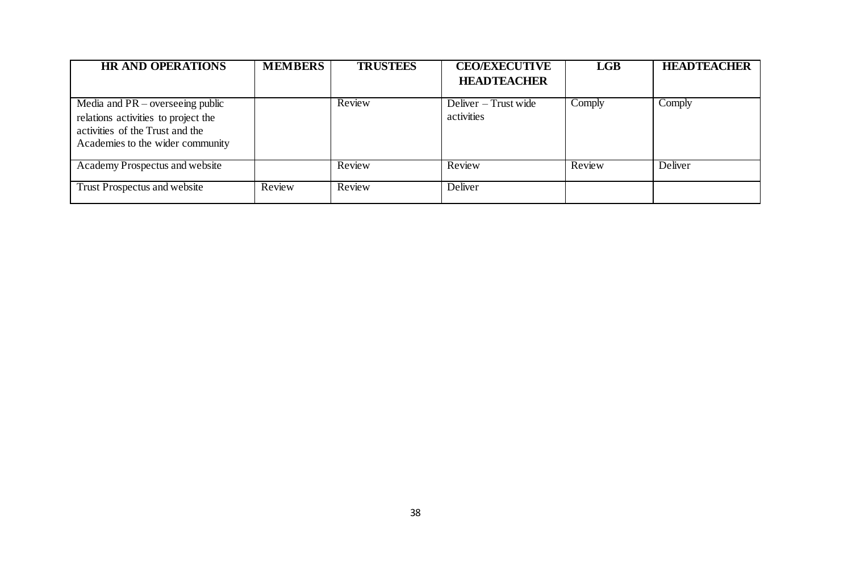| <b>HR AND OPERATIONS</b>            | <b>MEMBERS</b> | <b>TRUSTEES</b> | <b>CEO/EXECUTIVE</b> | LGB    | <b>HEADTEACHER</b> |
|-------------------------------------|----------------|-----------------|----------------------|--------|--------------------|
|                                     |                |                 | <b>HEADTEACHER</b>   |        |                    |
| Media and $PR$ – overseeing public  |                | Review          | Deliver – Trust wide | Comply | Comply             |
| relations activities to project the |                |                 | activities           |        |                    |
| activities of the Trust and the     |                |                 |                      |        |                    |
| Academies to the wider community    |                |                 |                      |        |                    |
| Academy Prospectus and website      |                | Review          | Review               | Review | Deliver            |
| Trust Prospectus and website        | Review         | Review          | Deliver              |        |                    |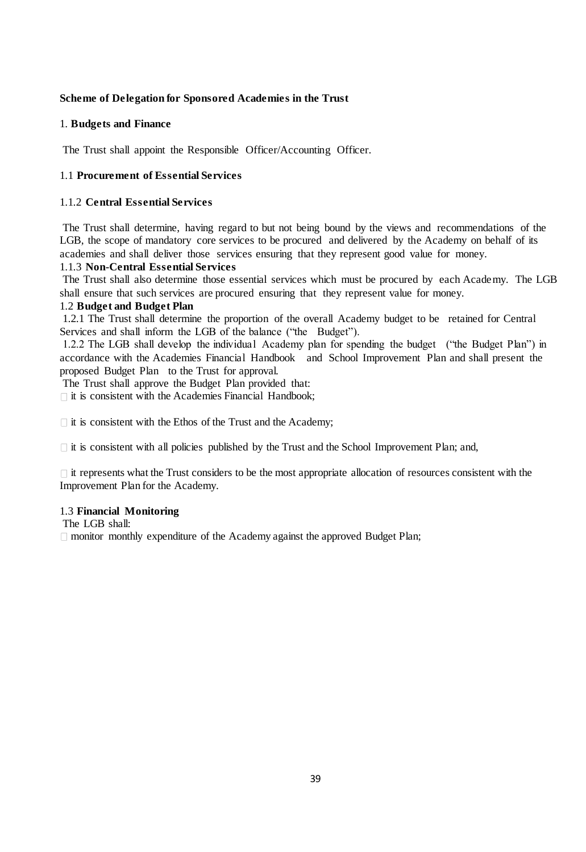## **Scheme of Delegation for Sponsored Academies in the Trust**

## 1. **Budgets and Finance**

The Trust shall appoint the Responsible Officer/Accounting Officer.

## 1.1 **Procurement of Essential Services**

## 1.1.2 **Central Essential Services**

The Trust shall determine, having regard to but not being bound by the views and recommendations of the LGB, the scope of mandatory core services to be procured and delivered by the Academy on behalf of its academies and shall deliver those services ensuring that they represent good value for money.

## 1.1.3 **Non-Central Essential Services**

The Trust shall also determine those essential services which must be procured by each Academy. The LGB shall ensure that such services are procured ensuring that they represent value for money.

## 1.2 **Budget and Budget Plan**

1.2.1 The Trust shall determine the proportion of the overall Academy budget to be retained for Central Services and shall inform the LGB of the balance ("the Budget").

1.2.2 The LGB shall develop the individual Academy plan for spending the budget ("the Budget Plan") in accordance with the Academies Financial Handbook and School Improvement Plan and shall present the proposed Budget Plan to the Trust for approval.

The Trust shall approve the Budget Plan provided that:

 $\Box$  it is consistent with the Academies Financial Handbook;

 $\Box$  it is consistent with the Ethos of the Trust and the Academy;

 $\Box$  it is consistent with all policies published by the Trust and the School Improvement Plan; and,

 $\Box$  it represents what the Trust considers to be the most appropriate allocation of resources consistent with the Improvement Plan for the Academy.

## 1.3 **Financial Monitoring**

The LGB shall:

monitor monthly expenditure of the Academy against the approved Budget Plan;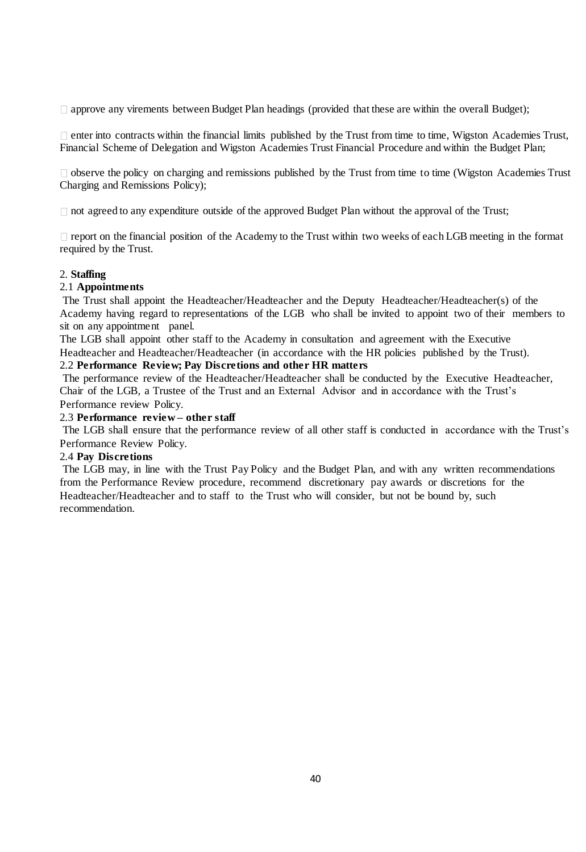□ approve any virements between Budget Plan headings (provided that these are within the overall Budget);

 $\Box$  enter into contracts within the financial limits published by the Trust from time to time, Wigston Academies Trust, Financial Scheme of Delegation and Wigston Academies Trust Financial Procedure and within the Budget Plan;

 $\Box$  observe the policy on charging and remissions published by the Trust from time to time (Wigston Academies Trust Charging and Remissions Policy);

 $\Box$  not agreed to any expenditure outside of the approved Budget Plan without the approval of the Trust;

 $\Box$  report on the financial position of the Academy to the Trust within two weeks of each LGB meeting in the format required by the Trust.

## 2. **Staffing**

## 2.1 **Appointments**

The Trust shall appoint the Headteacher/Headteacher and the Deputy Headteacher/Headteacher(s) of the Academy having regard to representations of the LGB who shall be invited to appoint two of their members to sit on any appointment panel.

The LGB shall appoint other staff to the Academy in consultation and agreement with the Executive

Headteacher and Headteacher/Headteacher (in accordance with the HR policies published by the Trust).

# 2.2 **Performance Review; Pay Discretions and other HR matters**

The performance review of the Headteacher/Headteacher shall be conducted by the Executive Headteacher, Chair of the LGB, a Trustee of the Trust and an External Advisor and in accordance with the Trust's Performance review Policy.

### 2.3 **Performance review – other staff**

The LGB shall ensure that the performance review of all other staff is conducted in accordance with the Trust's Performance Review Policy.

## 2.4 **Pay Discretions**

The LGB may, in line with the Trust Pay Policy and the Budget Plan, and with any written recommendations from the Performance Review procedure, recommend discretionary pay awards or discretions for the Headteacher/Headteacher and to staff to the Trust who will consider, but not be bound by, such recommendation.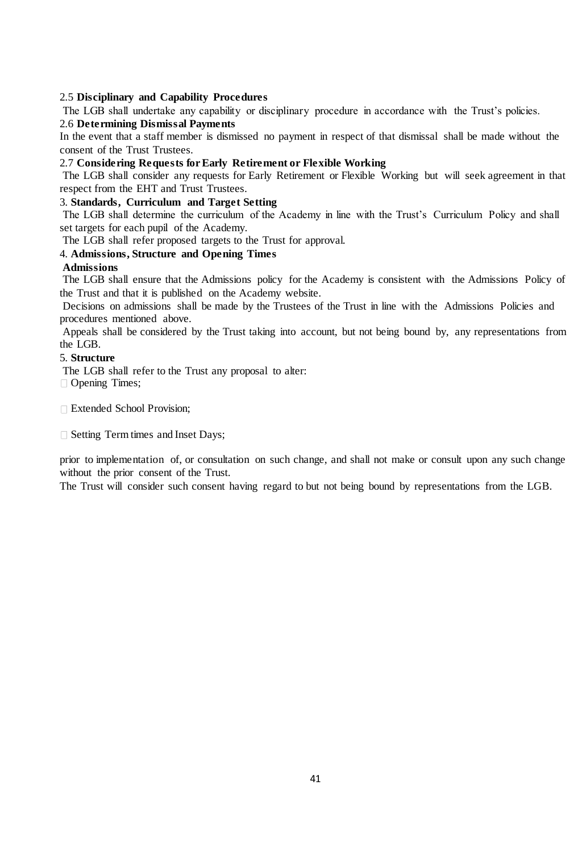## 2.5 **Disciplinary and Capability Procedures**

The LGB shall undertake any capability or disciplinary procedure in accordance with the Trust's policies. 2.6 **Determining Dismissal Payments** 

In the event that a staff member is dismissed no payment in respect of that dismissal shall be made without the consent of the Trust Trustees.

## 2.7 **Considering Requests for Early Retirement or Flexible Working**

The LGB shall consider any requests for Early Retirement or Flexible Working but will seek agreement in that respect from the EHT and Trust Trustees.

## 3. **Standards, Curriculum and Target Setting**

The LGB shall determine the curriculum of the Academy in line with the Trust's Curriculum Policy and shall set targets for each pupil of the Academy.

The LGB shall refer proposed targets to the Trust for approval.

## 4. **Admissions, Structure and Opening Times**

### **Admissions**

The LGB shall ensure that the Admissions policy for the Academy is consistent with the Admissions Policy of the Trust and that it is published on the Academy website.

Decisions on admissions shall be made by the Trustees of the Trust in line with the Admissions Policies and procedures mentioned above.

Appeals shall be considered by the Trust taking into account, but not being bound by, any representations from the LGB.

### 5. **Structure**

The LGB shall refer to the Trust any proposal to alter:

□ Opening Times;

Extended School Provision;

□ Setting Term times and Inset Days;

prior to implementation of, or consultation on such change, and shall not make or consult upon any such change without the prior consent of the Trust.

The Trust will consider such consent having regard to but not being bound by representations from the LGB.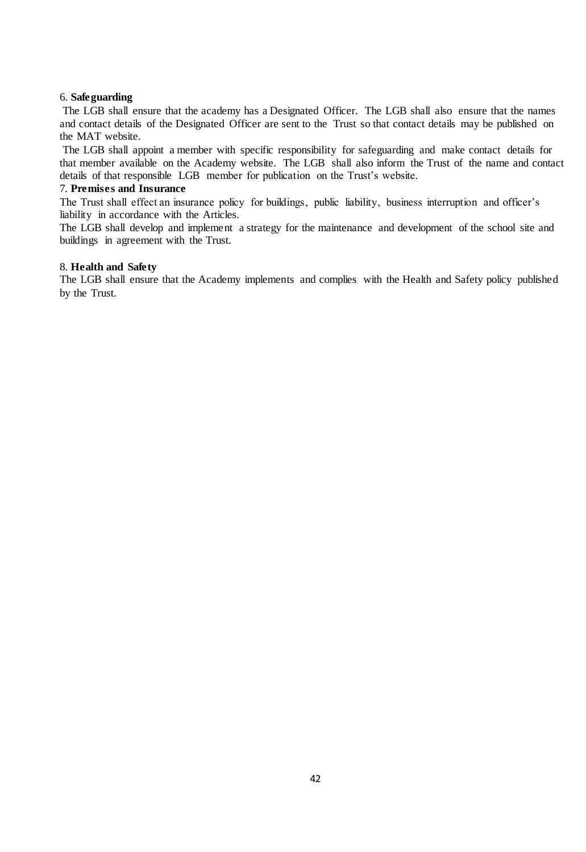#### 6. **Safeguarding**

The LGB shall ensure that the academy has a Designated Officer. The LGB shall also ensure that the names and contact details of the Designated Officer are sent to the Trust so that contact details may be published on the MAT website.

The LGB shall appoint a member with specific responsibility for safeguarding and make contact details for that member available on the Academy website. The LGB shall also inform the Trust of the name and contact details of that responsible LGB member for publication on the Trust's website.

#### 7. **Premises and Insurance**

The Trust shall effect an insurance policy for buildings, public liability, business interruption and officer's liability in accordance with the Articles.

The LGB shall develop and implement a strategy for the maintenance and development of the school site and buildings in agreement with the Trust.

### 8. **Health and Safety**

The LGB shall ensure that the Academy implements and complies with the Health and Safety policy published by the Trust.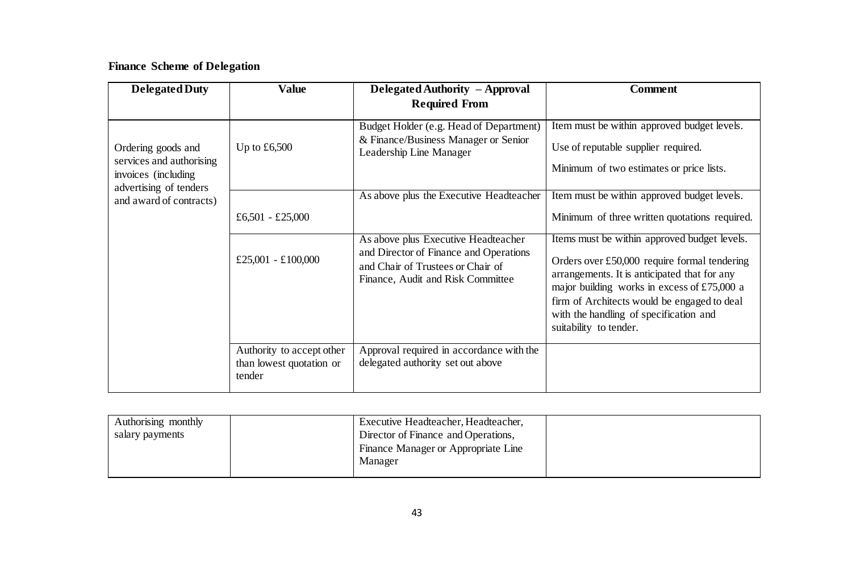# **Finance Scheme of Delegation**

| <b>Delegated Duty</b>                                                                            | <b>Value</b>                                                    | Delegated Authority - Approval                                                                                                                          | <b>Comment</b>                                                                                                                                                                                                                                                                                                   |
|--------------------------------------------------------------------------------------------------|-----------------------------------------------------------------|---------------------------------------------------------------------------------------------------------------------------------------------------------|------------------------------------------------------------------------------------------------------------------------------------------------------------------------------------------------------------------------------------------------------------------------------------------------------------------|
|                                                                                                  |                                                                 | <b>Required From</b>                                                                                                                                    |                                                                                                                                                                                                                                                                                                                  |
| Ordering goods and<br>services and authorising<br>invoices (including)<br>advertising of tenders | Up to $£6,500$                                                  | Budget Holder (e.g. Head of Department)<br>& Finance/Business Manager or Senior<br>Leadership Line Manager                                              | Item must be within approved budget levels.<br>Use of reputable supplier required.<br>Minimum of two estimates or price lists.                                                                                                                                                                                   |
| and award of contracts)                                                                          |                                                                 | As above plus the Executive Headteacher                                                                                                                 | Item must be within approved budget levels.                                                                                                                                                                                                                                                                      |
|                                                                                                  | £6,501 - £25,000                                                |                                                                                                                                                         | Minimum of three written quotations required.                                                                                                                                                                                                                                                                    |
|                                                                                                  | £25,001 - £100,000                                              | As above plus Executive Headteacher<br>and Director of Finance and Operations<br>and Chair of Trustees or Chair of<br>Finance, Audit and Risk Committee | Items must be within approved budget levels.<br>Orders over $£50,000$ require formal tendering<br>arrangements. It is anticipated that for any<br>major building works in excess of £75,000 a<br>firm of Architects would be engaged to deal<br>with the handling of specification and<br>suitability to tender. |
|                                                                                                  | Authority to accept other<br>than lowest quotation or<br>tender | Approval required in accordance with the<br>delegated authority set out above                                                                           |                                                                                                                                                                                                                                                                                                                  |

| Authorising monthly | Executive Headteacher, Headteacher, |  |
|---------------------|-------------------------------------|--|
| salary payments     | Director of Finance and Operations, |  |
|                     | Finance Manager or Appropriate Line |  |
|                     | Manager                             |  |
|                     |                                     |  |